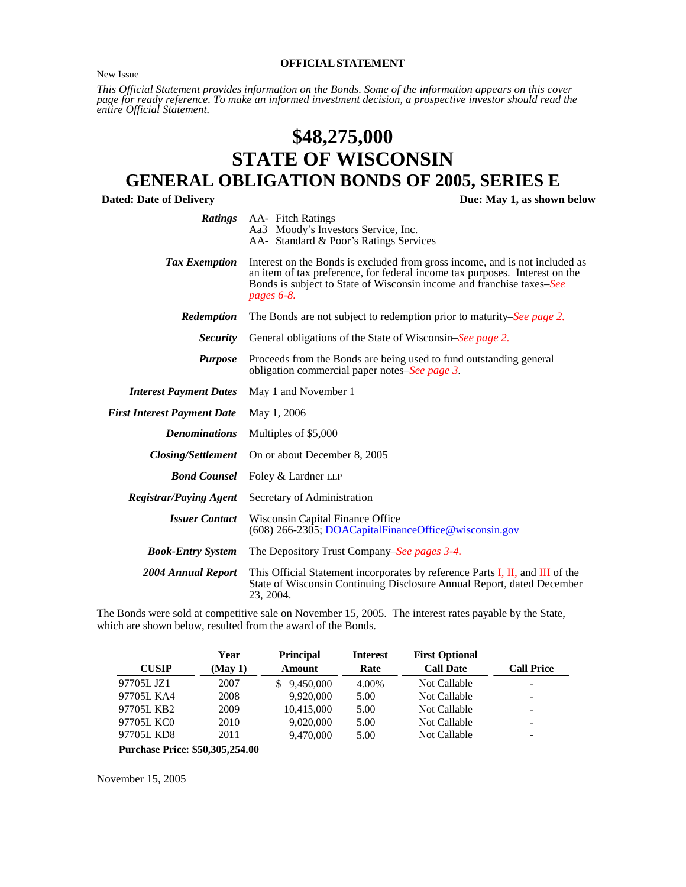<span id="page-0-0"></span>New Issue

#### **OFFICIALSTATEMENT**

*This Official Statement provides information on the Bonds. Some of the information appears on this cover* page for ready reference. To make<sup>"</sup>an informed investment decision, a prospective investor should read the<br>entire Official Statement.

# **\$48,275,000 STATE OF WISCONSIN**

# **GENERAL OBLIGATION BONDS OF 2005, SERIES E**

**Dated: Date of Delivery Due: May 1, as shown below**

|                                    | <b>Ratings</b> AA- Fitch Ratings<br>Aa3 Moody's Investors Service, Inc.<br>AA- Standard & Poor's Ratings Services                                                                                                                                 |  |  |  |  |  |  |  |
|------------------------------------|---------------------------------------------------------------------------------------------------------------------------------------------------------------------------------------------------------------------------------------------------|--|--|--|--|--|--|--|
| Tax Exemption                      | Interest on the Bonds is excluded from gross income, and is not included as<br>an item of tax preference, for federal income tax purposes. Interest on the<br>Bonds is subject to State of Wisconsin income and franchise taxes-See<br>pages 6-8. |  |  |  |  |  |  |  |
| Redemption                         | The Bonds are not subject to redemption prior to maturity–See page 2.                                                                                                                                                                             |  |  |  |  |  |  |  |
| <i>Security</i>                    | General obligations of the State of Wisconsin–See page 2.                                                                                                                                                                                         |  |  |  |  |  |  |  |
| <b>Purpose</b>                     | Proceeds from the Bonds are being used to fund outstanding general<br>obligation commercial paper notes–See page 3.                                                                                                                               |  |  |  |  |  |  |  |
| <b>Interest Payment Dates</b>      | May 1 and November 1                                                                                                                                                                                                                              |  |  |  |  |  |  |  |
| <b>First Interest Payment Date</b> | May 1, 2006                                                                                                                                                                                                                                       |  |  |  |  |  |  |  |
| <b>Denominations</b>               | Multiples of \$5,000                                                                                                                                                                                                                              |  |  |  |  |  |  |  |
| <b>Closing/Settlement</b>          | On or about December 8, 2005                                                                                                                                                                                                                      |  |  |  |  |  |  |  |
| <b>Bond Counsel</b>                | Foley & Lardner LLP                                                                                                                                                                                                                               |  |  |  |  |  |  |  |
| <b>Registrar/Paying Agent</b>      | Secretary of Administration                                                                                                                                                                                                                       |  |  |  |  |  |  |  |
| <b>Issuer Contact</b>              | Wisconsin Capital Finance Office<br>(608) 266-2305; DOACapitalFinanceOffice@wisconsin.gov                                                                                                                                                         |  |  |  |  |  |  |  |
| <b>Book-Entry System</b>           | The Depository Trust Company–See pages 3-4.                                                                                                                                                                                                       |  |  |  |  |  |  |  |
| 2004 Annual Report                 | This Official Statement incorporates by reference Parts I, II, and III of the<br>State of Wisconsin Continuing Disclosure Annual Report, dated December<br>23, 2004.                                                                              |  |  |  |  |  |  |  |

The Bonds were sold at competitive sale on November 15, 2005. The interest rates payable by the State, which are shown below, resulted from the award of the Bonds.

|                                        | Year   | <b>Principal</b> | <b>Interest</b> | <b>First Optional</b> |                          |
|----------------------------------------|--------|------------------|-----------------|-----------------------|--------------------------|
| <b>CUSIP</b>                           | (May1) | <b>Amount</b>    | Rate            | <b>Call Date</b>      | <b>Call Price</b>        |
| 97705L JZ1                             | 2007   | 9,450,000<br>S.  | 4.00%           | Not Callable          |                          |
| 97705L KA4                             | 2008   | 9.920.000        | 5.00            | Not Callable          | $\overline{\phantom{a}}$ |
| 97705L KB2                             | 2009   | 10.415.000       | 5.00            | Not Callable          |                          |
| 97705L KC0                             | 2010   | 9.020.000        | 5.00            | Not Callable          | $\overline{\phantom{a}}$ |
| 97705L KD8                             | 2011   | 9.470,000        | 5.00            | Not Callable          |                          |
| <b>Purchase Price: \$50,305,254.00</b> |        |                  |                 |                       |                          |

November 15, 2005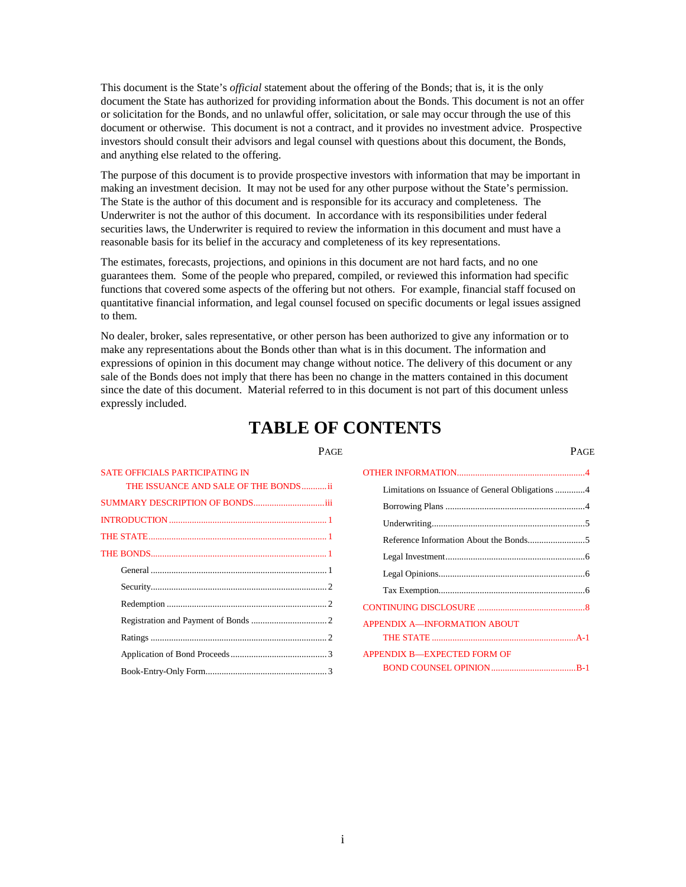This document is the State's *official* statement about the offering of the Bonds; that is, it is the only document the State has authorized for providing information about the Bonds. This document is not an offer or solicitation for the Bonds, and no unlawful offer, solicitation, or sale may occur through the use of this document or otherwise. This document is not a contract, and it provides no investment advice. Prospective investors should consult their advisors and legal counsel with questions about this document, the Bonds, and anything else related to the offering.

The purpose of this document is to provide prospective investors with information that may be important in making an investment decision. It may not be used for any other purpose without the State's permission. The State is the author of this document and is responsible for its accuracy and completeness. The Underwriter is not the author of this document. In accordance with its responsibilities under federal securities laws, the Underwriter is required to review the information in this document and must have a reasonable basis for its belief in the accuracy and completeness of its key representations.

The estimates, forecasts, projections, and opinions in this document are not hard facts, and no one guarantees them. Some of the people who prepared, compiled, or reviewed this information had specific functions that covered some aspects of the offering but not others. For example, financial staff focused on quantitative financial information, and legal counsel focused on specific documents or legal issues assigned to them.

No dealer, broker, sales representative, or other person has been authorized to give any information or to make any representations about the Bonds other than what is in this document. The information and expressions of opinion in this document may change without notice. The delivery of this document or any sale of the Bonds does not imply that there has been no change in the matters contained in this document since the date of this document. Material referred to in this document is not part of this document unless expressly included.

# **TABLE OF CONTENTS**

| <b>SATE OFFICIALS PARTICIPATING IN</b> | OTHER INFORMATION                     |
|----------------------------------------|---------------------------------------|
| THE ISSUANCE AND SALE OF THE BONDSii   | Limitations on Issuance of General Ob |
|                                        |                                       |
|                                        |                                       |
|                                        | Reference Information About the Bone  |
|                                        |                                       |
|                                        |                                       |
|                                        |                                       |
|                                        | CONTINUING DISCLOSURE                 |
|                                        | APPENDIX A-INFORMATION ABOUT          |
|                                        |                                       |
|                                        | APPENDIX B-EXPECTED FORM OF           |
|                                        | <b>BOND COUNSEL OPINION</b>           |

| SATE OFFICIALS PARTICIPATING IN      |                                                  |
|--------------------------------------|--------------------------------------------------|
| THE ISSUANCE AND SALE OF THE BONDSii | Limitations on Issuance of General Obligations 4 |
| SUMMARY DESCRIPTION OF BONDSiii      |                                                  |
|                                      |                                                  |
|                                      |                                                  |
|                                      |                                                  |
|                                      |                                                  |
|                                      |                                                  |
|                                      |                                                  |
|                                      | <b>APPENDIX A-INFORMATION ABOUT</b>              |
|                                      |                                                  |
|                                      | <b>APPENDIX B-EXPECTED FORM OF</b>               |
|                                      |                                                  |
|                                      |                                                  |

PAGE PAGE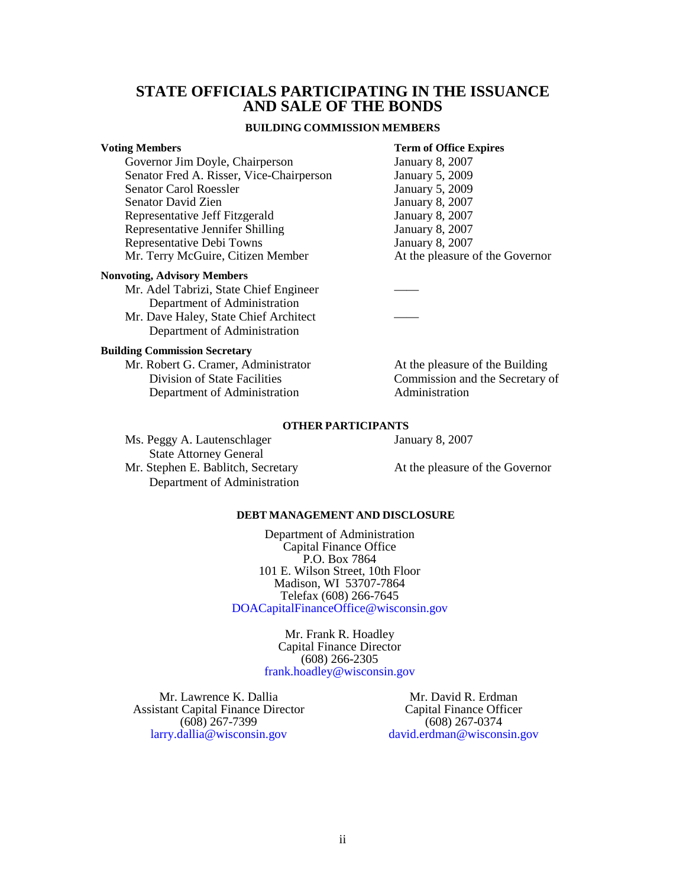### <span id="page-2-0"></span>**STATE OFFICIALS PARTICIPATING IN THE ISSUANCE AND SALE OF THE BONDS**

#### **BUILDING COMMISSION MEMBERS**

#### **Voting Members Term of Office Expires**

Governor Jim Doyle, Chairperson January 8, 2007<br>Senator Fred A. Risser, Vice-Chairperson January 5, 2009 Senator Fred A. Risser, Vice-Chairperson Senator Carol Roessler January 5, 2009 Senator David Zien January 8, 2007 Representative Jeff Fitzgerald January 8, 2007 Representative Jennifer Shilling January 8, 2007 Representative Debi Towns January 8, 2007 Mr. Terry McGuire, Citizen Member At the pleasure of the Governor

#### **Nonvoting, Advisory Members**

Mr. Adel Tabrizi, State Chief Engineer Department of Administration

Mr. Dave Haley, State Chief Architect Department of Administration

#### **Building Commission Secretary**

Mr. Robert G. Cramer, Administrator At the pleasure of the Building Department of Administration

Division of State Facilities Commission and the Secretary of<br>
Department of Administration<br>
Administration

#### **OTHER PARTICIPANTS**

Ms. Peggy A. Lautenschlager January 8, 2007

 State Attorney General Mr. Stephen E. Bablitch, Secretary **At the pleasure of the Governor** Department of Administration

#### **DEBT MANAGEMENT AND DISCLOSURE**

Department of Administration Capital Finance Office P.O. Box 7864 101 E. Wilson Street, 10th Floor Madison, WI 53707-7864 Telefax (608) 266-7645 [DOACapitalFinanceOffice@wisconsin.gov](mailto: DOACapitalFinanceOffice@wisconsin.gov)

> Mr. Frank R. Hoadley Capital Finance Director (608) 266-2305 [frank.hoadley@wisconsin.gov](mailto: DOACapitalFinanceOffice@wisconsin.gov)

Mr. Lawrence K. Dallia Assistant Capital Finance Director (608) 267-7399 [larry.dallia@wisconsin.gov](mailto: DOACapitalFinanceOffice@wisconsin.gov)

Mr. David R. Erdman Capital Finance Officer (608) 267-0374 [david.erdman@wisconsin.gov](mailto: DOACapitalFinanceOffice@wisconsin.gov)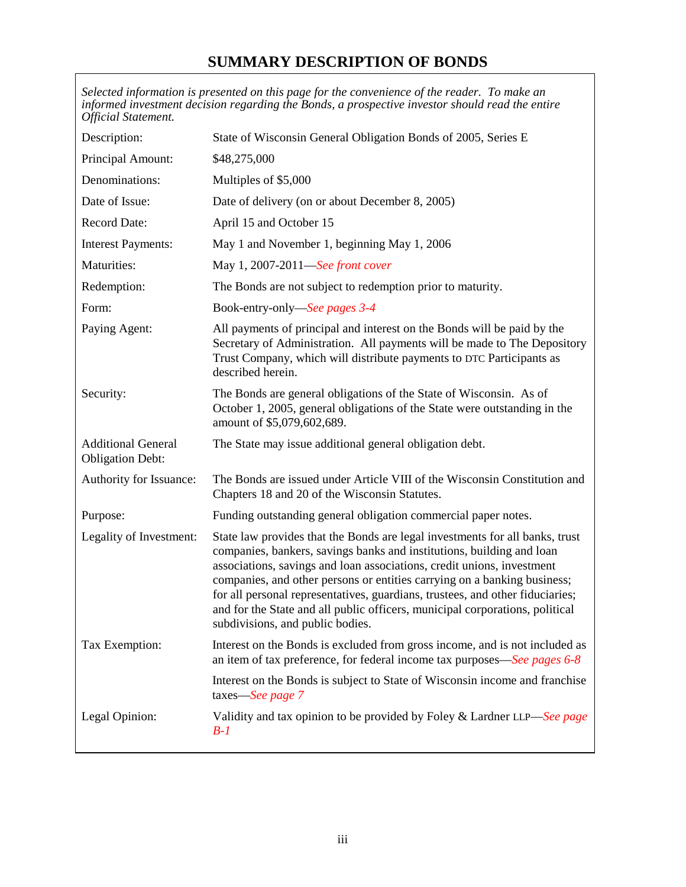# **SUMMARY DESCRIPTION OF BONDS**

<span id="page-3-0"></span>

| <b>Official Statement.</b>                           | Selected information is presented on this page for the convenience of the reader. To make an<br>informed investment decision regarding the Bonds, a prospective investor should read the entire                                                                                                                                                                                                                                                                                                                  |
|------------------------------------------------------|------------------------------------------------------------------------------------------------------------------------------------------------------------------------------------------------------------------------------------------------------------------------------------------------------------------------------------------------------------------------------------------------------------------------------------------------------------------------------------------------------------------|
| Description:                                         | State of Wisconsin General Obligation Bonds of 2005, Series E                                                                                                                                                                                                                                                                                                                                                                                                                                                    |
| Principal Amount:                                    | \$48,275,000                                                                                                                                                                                                                                                                                                                                                                                                                                                                                                     |
| Denominations:                                       | Multiples of \$5,000                                                                                                                                                                                                                                                                                                                                                                                                                                                                                             |
| Date of Issue:                                       | Date of delivery (on or about December 8, 2005)                                                                                                                                                                                                                                                                                                                                                                                                                                                                  |
| <b>Record Date:</b>                                  | April 15 and October 15                                                                                                                                                                                                                                                                                                                                                                                                                                                                                          |
| <b>Interest Payments:</b>                            | May 1 and November 1, beginning May 1, 2006                                                                                                                                                                                                                                                                                                                                                                                                                                                                      |
| Maturities:                                          | May 1, 2007-2011-See front cover                                                                                                                                                                                                                                                                                                                                                                                                                                                                                 |
| Redemption:                                          | The Bonds are not subject to redemption prior to maturity.                                                                                                                                                                                                                                                                                                                                                                                                                                                       |
| Form:                                                | Book-entry-only—See pages 3-4                                                                                                                                                                                                                                                                                                                                                                                                                                                                                    |
| Paying Agent:                                        | All payments of principal and interest on the Bonds will be paid by the<br>Secretary of Administration. All payments will be made to The Depository<br>Trust Company, which will distribute payments to DTC Participants as<br>described herein.                                                                                                                                                                                                                                                                 |
| Security:                                            | The Bonds are general obligations of the State of Wisconsin. As of<br>October 1, 2005, general obligations of the State were outstanding in the<br>amount of \$5,079,602,689.                                                                                                                                                                                                                                                                                                                                    |
| <b>Additional General</b><br><b>Obligation Debt:</b> | The State may issue additional general obligation debt.                                                                                                                                                                                                                                                                                                                                                                                                                                                          |
| Authority for Issuance:                              | The Bonds are issued under Article VIII of the Wisconsin Constitution and<br>Chapters 18 and 20 of the Wisconsin Statutes.                                                                                                                                                                                                                                                                                                                                                                                       |
| Purpose:                                             | Funding outstanding general obligation commercial paper notes.                                                                                                                                                                                                                                                                                                                                                                                                                                                   |
| Legality of Investment:                              | State law provides that the Bonds are legal investments for all banks, trust<br>companies, bankers, savings banks and institutions, building and loan<br>associations, savings and loan associations, credit unions, investment<br>companies, and other persons or entities carrying on a banking business;<br>for all personal representatives, guardians, trustees, and other fiduciaries;<br>and for the State and all public officers, municipal corporations, political<br>subdivisions, and public bodies. |
| Tax Exemption:                                       | Interest on the Bonds is excluded from gross income, and is not included as<br>an item of tax preference, for federal income tax purposes—See pages 6-8                                                                                                                                                                                                                                                                                                                                                          |
|                                                      | Interest on the Bonds is subject to State of Wisconsin income and franchise<br>taxes-See page 7                                                                                                                                                                                                                                                                                                                                                                                                                  |
| Legal Opinion:                                       | Validity and tax opinion to be provided by Foley & Lardner LLP—See page<br>$B-1$                                                                                                                                                                                                                                                                                                                                                                                                                                 |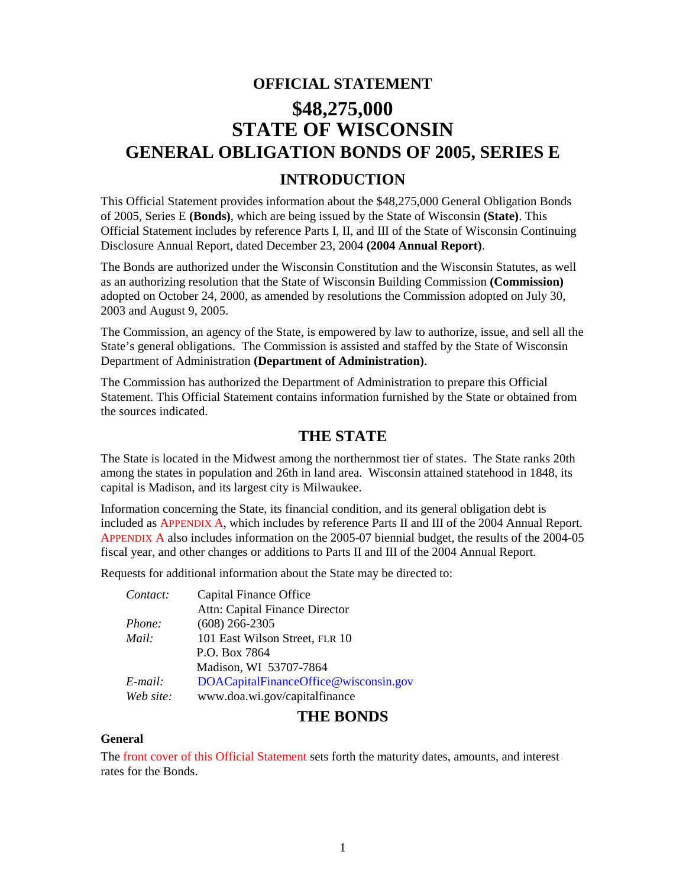# <span id="page-4-0"></span>**OFFICIAL STATEMENT \$48,275,000 STATE OF WISCONSIN GENERAL OBLIGATION BONDS OF 2005, SERIES E**

# **INTRODUCTION**

This Official Statement provides information about the \$48,275,000 General Obligation Bonds of 2005, Series E **(Bonds)**, which are being issued by the State of Wisconsin **(State)**. This Official Statement includes by reference Parts I, II, and III of the State of Wisconsin Continuing Disclosure Annual Report, dated December 23, 2004 **(2004 Annual Report)**.

The Bonds are authorized under the Wisconsin Constitution and the Wisconsin Statutes, as well as an authorizing resolution that the State of Wisconsin Building Commission **(Commission)** adopted on October 24, 2000, as amended by resolutions the Commission adopted on July 30, 2003 and August 9, 2005.

The Commission, an agency of the State, is empowered by law to authorize, issue, and sell all the State's general obligations. The Commission is assisted and staffed by the State of Wisconsin Department of Administration **(Department of Administration)**.

The Commission has authorized the Department of Administration to prepare this Official Statement. This Official Statement contains information furnished by the State or obtained from the sources indicated.

# **THE STATE**

The State is located in the Midwest among the northernmost tier of states. The State ranks 20th among the states in population and 26th in land area. Wisconsin attained statehood in 1848, its capital is Madison, and its largest city is Milwaukee.

Information concerning the State, its financial condition, and its general obligation debt is included as APPENDIX A, which includes by reference Parts II and III of the 2004 Annual Report. [APPENDIX A also includes](#page-12-0) information on the 2005-07 biennial budget, the results of the 2004-05 fiscal year, and other changes or additions to Parts II and III of the 2004 Annual Report.

Requests for additional information about the State may be directed to:

| Contact:  | Capital Finance Office                |
|-----------|---------------------------------------|
|           | Attn: Capital Finance Director        |
| Phone:    | $(608)$ 266-2305                      |
| Mail:     | 101 East Wilson Street, FLR 10        |
|           | P.O. Box 7864                         |
|           | Madison, WI 53707-7864                |
| E-mail:   | DOACapitalFinanceOffice@wisconsin.gov |
| Web site: | www.doa.wi.gov/capitalfinance         |

# **THE BONDS**

### **General**

The [front cover of this Official Statement s](#page-0-0)ets forth the maturity dates, amounts, and interest rates for the Bonds.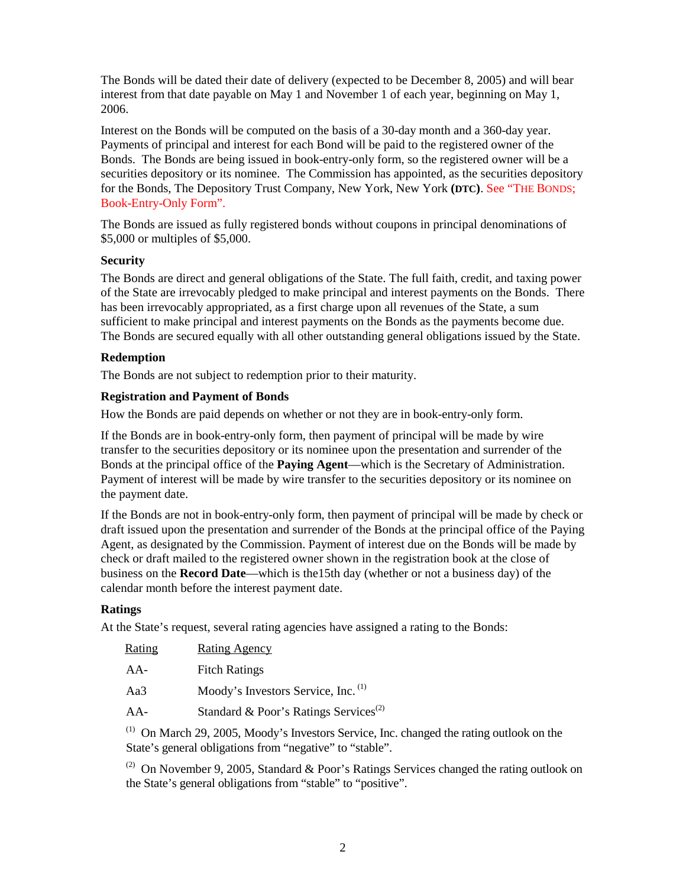<span id="page-5-0"></span>The Bonds will be dated their date of delivery (expected to be December 8, 2005) and will bear interest from that date payable on May 1 and November 1 of each year, beginning on May 1, 2006.

Interest on the Bonds will be computed on the basis of a 30-day month and a 360-day year. Payments of principal and interest for each Bond will be paid to the registered owner of the Bonds. The Bonds are being issued in book-entry-only form, so the registered owner will be a securities depository or its nominee. The Commission has appointed, as the securities depository for the Bonds, The Depository Trust Company, New York, New York **(DTC)**. [See "THE BONDS;](#page-6-0)  [Book-Entry-Only Form".](#page-6-0)

The Bonds are issued as fully registered bonds without coupons in principal denominations of \$5,000 or multiples of \$5,000.

### **Security**

The Bonds are direct and general obligations of the State. The full faith, credit, and taxing power of the State are irrevocably pledged to make principal and interest payments on the Bonds. There has been irrevocably appropriated, as a first charge upon all revenues of the State, a sum sufficient to make principal and interest payments on the Bonds as the payments become due. The Bonds are secured equally with all other outstanding general obligations issued by the State.

### **Redemption**

The Bonds are not subject to redemption prior to their maturity.

### **Registration and Payment of Bonds**

How the Bonds are paid depends on whether or not they are in book-entry-only form.

If the Bonds are in book-entry-only form, then payment of principal will be made by wire transfer to the securities depository or its nominee upon the presentation and surrender of the Bonds at the principal office of the **Paying Agent**—which is the Secretary of Administration. Payment of interest will be made by wire transfer to the securities depository or its nominee on the payment date.

If the Bonds are not in book-entry-only form, then payment of principal will be made by check or draft issued upon the presentation and surrender of the Bonds at the principal office of the Paying Agent, as designated by the Commission. Payment of interest due on the Bonds will be made by check or draft mailed to the registered owner shown in the registration book at the close of business on the **Record Date**—which is the15th day (whether or not a business day) of the calendar month before the interest payment date.

# **Ratings**

At the State's request, several rating agencies have assigned a rating to the Bonds:

| Rating | <b>Rating Agency</b> |
|--------|----------------------|
| $AA-$  | <b>Fitch Ratings</b> |

Aa3 Moody's Investors Service, Inc. (1)

AA- Standard & Poor's Ratings Services<sup>(2)</sup>

(1) On March 29, 2005, Moody's Investors Service, Inc. changed the rating outlook on the State's general obligations from "negative" to "stable".

<sup>(2)</sup> On November 9, 2005, Standard & Poor's Ratings Services changed the rating outlook on the State's general obligations from "stable" to "positive".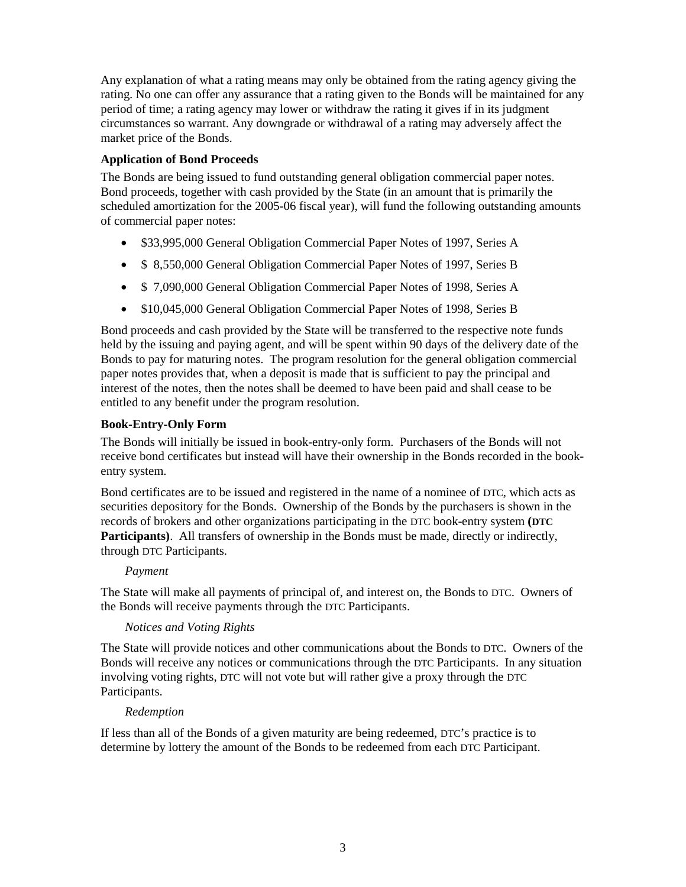<span id="page-6-0"></span>Any explanation of what a rating means may only be obtained from the rating agency giving the rating. No one can offer any assurance that a rating given to the Bonds will be maintained for any period of time; a rating agency may lower or withdraw the rating it gives if in its judgment circumstances so warrant. Any downgrade or withdrawal of a rating may adversely affect the market price of the Bonds.

# **Application of Bond Proceeds**

The Bonds are being issued to fund outstanding general obligation commercial paper notes. Bond proceeds, together with cash provided by the State (in an amount that is primarily the scheduled amortization for the 2005-06 fiscal year), will fund the following outstanding amounts of commercial paper notes:

- \$33,995,000 General Obligation Commercial Paper Notes of 1997, Series A
- \$ 8,550,000 General Obligation Commercial Paper Notes of 1997, Series B
- \$ 7,090,000 General Obligation Commercial Paper Notes of 1998, Series A
- \$10,045,000 General Obligation Commercial Paper Notes of 1998, Series B

Bond proceeds and cash provided by the State will be transferred to the respective note funds held by the issuing and paying agent, and will be spent within 90 days of the delivery date of the Bonds to pay for maturing notes. The program resolution for the general obligation commercial paper notes provides that, when a deposit is made that is sufficient to pay the principal and interest of the notes, then the notes shall be deemed to have been paid and shall cease to be entitled to any benefit under the program resolution.

### **Book-Entry-Only Form**

The Bonds will initially be issued in book-entry-only form. Purchasers of the Bonds will not receive bond certificates but instead will have their ownership in the Bonds recorded in the bookentry system.

Bond certificates are to be issued and registered in the name of a nominee of DTC, which acts as securities depository for the Bonds. Ownership of the Bonds by the purchasers is shown in the records of brokers and other organizations participating in the DTC book-entry system **(DTC** Participants). All transfers of ownership in the Bonds must be made, directly or indirectly, through DTC Participants.

### *Payment*

The State will make all payments of principal of, and interest on, the Bonds to DTC. Owners of the Bonds will receive payments through the DTC Participants.

### *Notices and Voting Rights*

The State will provide notices and other communications about the Bonds to DTC. Owners of the Bonds will receive any notices or communications through the DTC Participants. In any situation involving voting rights, DTC will not vote but will rather give a proxy through the DTC Participants.

### *Redemption*

If less than all of the Bonds of a given maturity are being redeemed, DTC's practice is to determine by lottery the amount of the Bonds to be redeemed from each DTC Participant.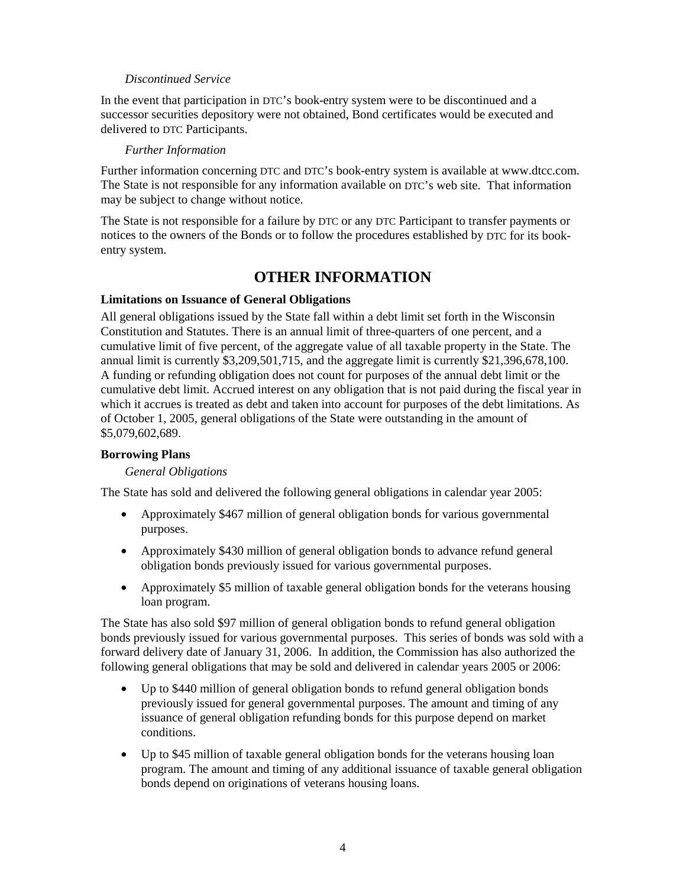### *Discontinued Service*

<span id="page-7-0"></span>In the event that participation in DTC's book-entry system were to be discontinued and a successor securities depository were not obtained, Bond certificates would be executed and delivered to DTC Participants.

### *Further Information*

Further information concerning DTC and DTC's book-entry system is available at www.dtcc.com. The State is not responsible for any information available on DTC's web site. That information may be subject to change without notice.

The State is not responsible for a failure by DTC or any DTC Participant to transfer payments or notices to the owners of the Bonds or to follow the procedures established by DTC for its bookentry system.

# **OTHER INFORMATION**

# **Limitations on Issuance of General Obligations**

All general obligations issued by the State fall within a debt limit set forth in the Wisconsin Constitution and Statutes. There is an annual limit of three-quarters of one percent, and a cumulative limit of five percent, of the aggregate value of all taxable property in the State. The annual limit is currently \$3,209,501,715, and the aggregate limit is currently \$21,396,678,100. A funding or refunding obligation does not count for purposes of the annual debt limit or the cumulative debt limit. Accrued interest on any obligation that is not paid during the fiscal year in which it accrues is treated as debt and taken into account for purposes of the debt limitations. As of October 1, 2005, general obligations of the State were outstanding in the amount of \$5,079,602,689.

### **Borrowing Plans**

### *General Obligations*

The State has sold and delivered the following general obligations in calendar year 2005:

- Approximately \$467 million of general obligation bonds for various governmental purposes.
- Approximately \$430 million of general obligation bonds to advance refund general obligation bonds previously issued for various governmental purposes.
- Approximately \$5 million of taxable general obligation bonds for the veterans housing loan program.

The State has also sold \$97 million of general obligation bonds to refund general obligation bonds previously issued for various governmental purposes. This series of bonds was sold with a forward delivery date of January 31, 2006. In addition, the Commission has also authorized the following general obligations that may be sold and delivered in calendar years 2005 or 2006:

- Up to \$440 million of general obligation bonds to refund general obligation bonds previously issued for general governmental purposes. The amount and timing of any issuance of general obligation refunding bonds for this purpose depend on market conditions.
- Up to \$45 million of taxable general obligation bonds for the veterans housing loan program. The amount and timing of any additional issuance of taxable general obligation bonds depend on originations of veterans housing loans.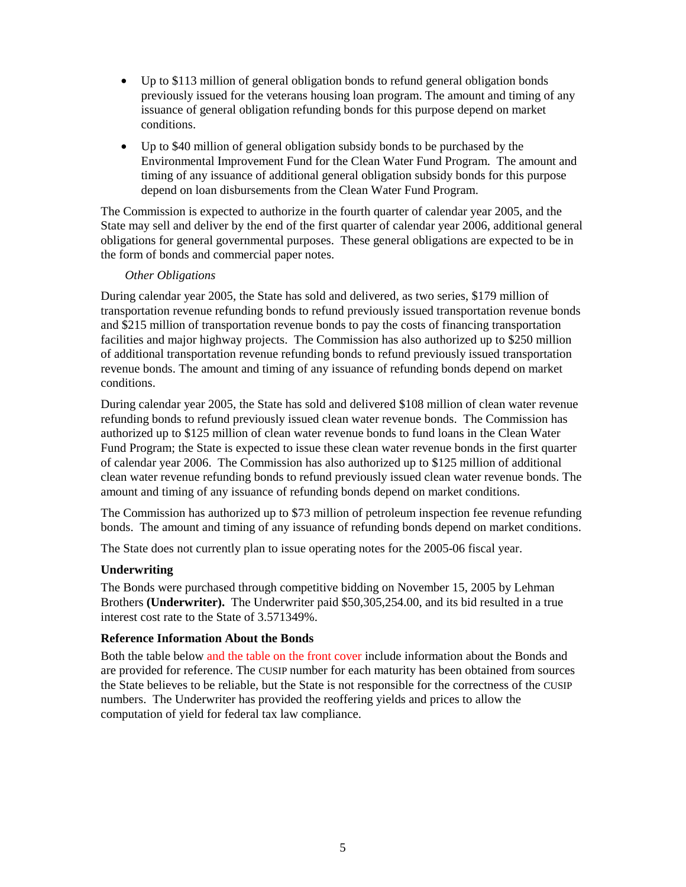- Up to \$113 million of general obligation bonds to refund general obligation bonds previously issued for the veterans housing loan program. The amount and timing of any issuance of general obligation refunding bonds for this purpose depend on market conditions.
- Up to \$40 million of general obligation subsidy bonds to be purchased by the Environmental Improvement Fund for the Clean Water Fund Program. The amount and timing of any issuance of additional general obligation subsidy bonds for this purpose depend on loan disbursements from the Clean Water Fund Program.

The Commission is expected to authorize in the fourth quarter of calendar year 2005, and the State may sell and deliver by the end of the first quarter of calendar year 2006, additional general obligations for general governmental purposes. These general obligations are expected to be in the form of bonds and commercial paper notes.

### *Other Obligations*

During calendar year 2005, the State has sold and delivered, as two series, \$179 million of transportation revenue refunding bonds to refund previously issued transportation revenue bonds and \$215 million of transportation revenue bonds to pay the costs of financing transportation facilities and major highway projects. The Commission has also authorized up to \$250 million of additional transportation revenue refunding bonds to refund previously issued transportation revenue bonds. The amount and timing of any issuance of refunding bonds depend on market conditions.

During calendar year 2005, the State has sold and delivered \$108 million of clean water revenue refunding bonds to refund previously issued clean water revenue bonds. The Commission has authorized up to \$125 million of clean water revenue bonds to fund loans in the Clean Water Fund Program; the State is expected to issue these clean water revenue bonds in the first quarter of calendar year 2006. The Commission has also authorized up to \$125 million of additional clean water revenue refunding bonds to refund previously issued clean water revenue bonds. The amount and timing of any issuance of refunding bonds depend on market conditions.

The Commission has authorized up to \$73 million of petroleum inspection fee revenue refunding bonds. The amount and timing of any issuance of refunding bonds depend on market conditions.

The State does not currently plan to issue operating notes for the 2005-06 fiscal year.

# **Underwriting**

The Bonds were purchased through competitive bidding on November 15, 2005 by Lehman Brothers **(Underwriter).** The Underwriter paid \$50,305,254.00, and its bid resulted in a true interest cost rate to the State of 3.571349%.

# **Reference Information About the Bonds**

Both the table belo[w and the table on the front cover i](#page-0-0)nclude information about the Bonds and are provided for reference. The CUSIP number for each maturity has been obtained from sources the State believes to be reliable, but the State is not responsible for the correctness of the CUSIP numbers. The Underwriter has provided the reoffering yields and prices to allow the computation of yield for federal tax law compliance.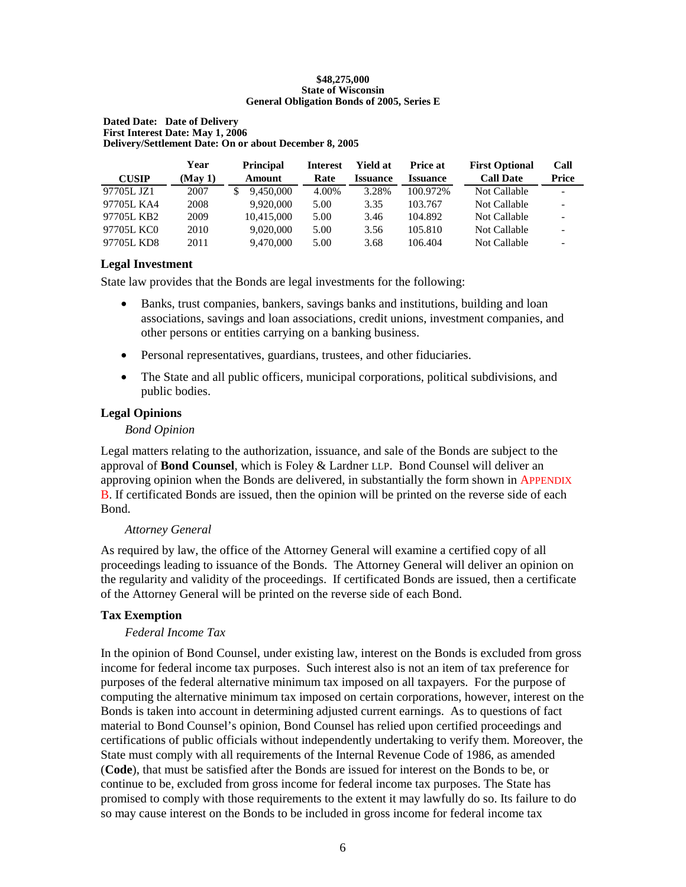#### **\$48,275,000 State of Wisconsin General Obligation Bonds of 2005, Series E**

#### <span id="page-9-0"></span>**Dated Date: Date of Delivery First Interest Date: May 1, 2006 Delivery/Settlement Date: On or about December 8, 2005**

|              | Year    | <b>Principal</b> | <b>Interest</b> | <b>Yield at</b> | <b>Price at</b> | <b>First Optional</b> | Call            |
|--------------|---------|------------------|-----------------|-----------------|-----------------|-----------------------|-----------------|
| <b>CUSIP</b> | (May 1) | Amount           | Rate            | <b>Issuance</b> | <b>Issuance</b> | <b>Call Date</b>      | Price           |
| 97705L JZ1   | 2007    | 9.450,000        | 4.00%           | 3.28%           | 100.972%        | Not Callable          |                 |
| 97705L KA4   | 2008    | 9.920.000        | 5.00            | 3.35            | 103.767         | Not Callable          |                 |
| 97705L KB2   | 2009    | 10,415,000       | 5.00            | 3.46            | 104.892         | Not Callable          | $\qquad \qquad$ |
| 97705L KC0   | 2010    | 9,020,000        | 5.00            | 3.56            | 105.810         | Not Callable          | ۰               |
| 97705L KD8   | 2011    | 9,470,000        | 5.00            | 3.68            | 106.404         | Not Callable          | $\qquad \qquad$ |

### **Legal Investment**

State law provides that the Bonds are legal investments for the following:

- Banks, trust companies, bankers, savings banks and institutions, building and loan associations, savings and loan associations, credit unions, investment companies, and other persons or entities carrying on a banking business.
- Personal representatives, guardians, trustees, and other fiduciaries.
- The State and all public officers, municipal corporations, political subdivisions, and public bodies.

# **Legal Opinions**

### *Bond Opinion*

Legal matters relating to the authorization, issuance, and sale of the Bonds are subject to the approval of **Bond Counsel**, which is Foley & Lardner LLP. Bond Counsel will deliver an approving opinion when the Bonds are delivered, in substantially the form shown i[n APPENDIX](#page-35-0) [B.](#page-35-0) If certificated Bonds are issued, then the opinion will be printed on the reverse side of each Bond.

### *Attorney General*

As required by law, the office of the Attorney General will examine a certified copy of all proceedings leading to issuance of the Bonds. The Attorney General will deliver an opinion on the regularity and validity of the proceedings. If certificated Bonds are issued, then a certificate of the Attorney General will be printed on the reverse side of each Bond.

# **Tax Exemption**

# *Federal Income Tax*

In the opinion of Bond Counsel, under existing law, interest on the Bonds is excluded from gross income for federal income tax purposes. Such interest also is not an item of tax preference for purposes of the federal alternative minimum tax imposed on all taxpayers. For the purpose of computing the alternative minimum tax imposed on certain corporations, however, interest on the Bonds is taken into account in determining adjusted current earnings. As to questions of fact material to Bond Counsel's opinion, Bond Counsel has relied upon certified proceedings and certifications of public officials without independently undertaking to verify them. Moreover, the State must comply with all requirements of the Internal Revenue Code of 1986, as amended (**Code**), that must be satisfied after the Bonds are issued for interest on the Bonds to be, or continue to be, excluded from gross income for federal income tax purposes. The State has promised to comply with those requirements to the extent it may lawfully do so. Its failure to do so may cause interest on the Bonds to be included in gross income for federal income tax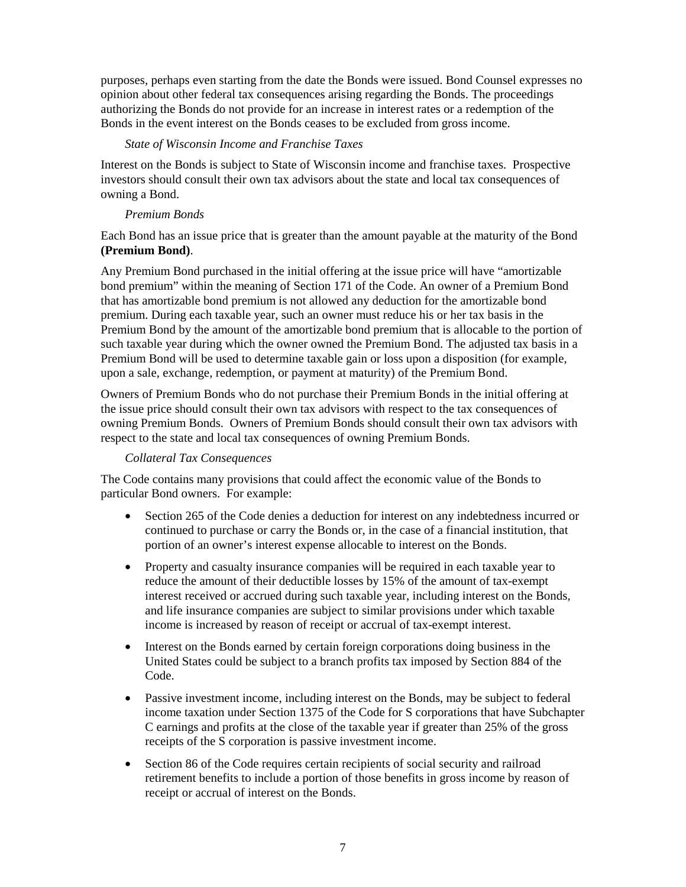<span id="page-10-0"></span>purposes, perhaps even starting from the date the Bonds were issued. Bond Counsel expresses no opinion about other federal tax consequences arising regarding the Bonds. The proceedings authorizing the Bonds do not provide for an increase in interest rates or a redemption of the Bonds in the event interest on the Bonds ceases to be excluded from gross income.

### *State of Wisconsin Income and Franchise Taxes*

Interest on the Bonds is subject to State of Wisconsin income and franchise taxes. Prospective investors should consult their own tax advisors about the state and local tax consequences of owning a Bond.

#### *Premium Bonds*

Each Bond has an issue price that is greater than the amount payable at the maturity of the Bond **(Premium Bond)**.

Any Premium Bond purchased in the initial offering at the issue price will have "amortizable bond premium" within the meaning of Section 171 of the Code. An owner of a Premium Bond that has amortizable bond premium is not allowed any deduction for the amortizable bond premium. During each taxable year, such an owner must reduce his or her tax basis in the Premium Bond by the amount of the amortizable bond premium that is allocable to the portion of such taxable year during which the owner owned the Premium Bond. The adjusted tax basis in a Premium Bond will be used to determine taxable gain or loss upon a disposition (for example, upon a sale, exchange, redemption, or payment at maturity) of the Premium Bond.

Owners of Premium Bonds who do not purchase their Premium Bonds in the initial offering at the issue price should consult their own tax advisors with respect to the tax consequences of owning Premium Bonds. Owners of Premium Bonds should consult their own tax advisors with respect to the state and local tax consequences of owning Premium Bonds.

### *Collateral Tax Consequences*

The Code contains many provisions that could affect the economic value of the Bonds to particular Bond owners. For example:

- Section 265 of the Code denies a deduction for interest on any indebtedness incurred or continued to purchase or carry the Bonds or, in the case of a financial institution, that portion of an owner's interest expense allocable to interest on the Bonds.
- Property and casualty insurance companies will be required in each taxable year to reduce the amount of their deductible losses by 15% of the amount of tax-exempt interest received or accrued during such taxable year, including interest on the Bonds, and life insurance companies are subject to similar provisions under which taxable income is increased by reason of receipt or accrual of tax-exempt interest.
- Interest on the Bonds earned by certain foreign corporations doing business in the United States could be subject to a branch profits tax imposed by Section 884 of the Code.
- Passive investment income, including interest on the Bonds, may be subject to federal income taxation under Section 1375 of the Code for S corporations that have Subchapter C earnings and profits at the close of the taxable year if greater than 25% of the gross receipts of the S corporation is passive investment income.
- Section 86 of the Code requires certain recipients of social security and railroad retirement benefits to include a portion of those benefits in gross income by reason of receipt or accrual of interest on the Bonds.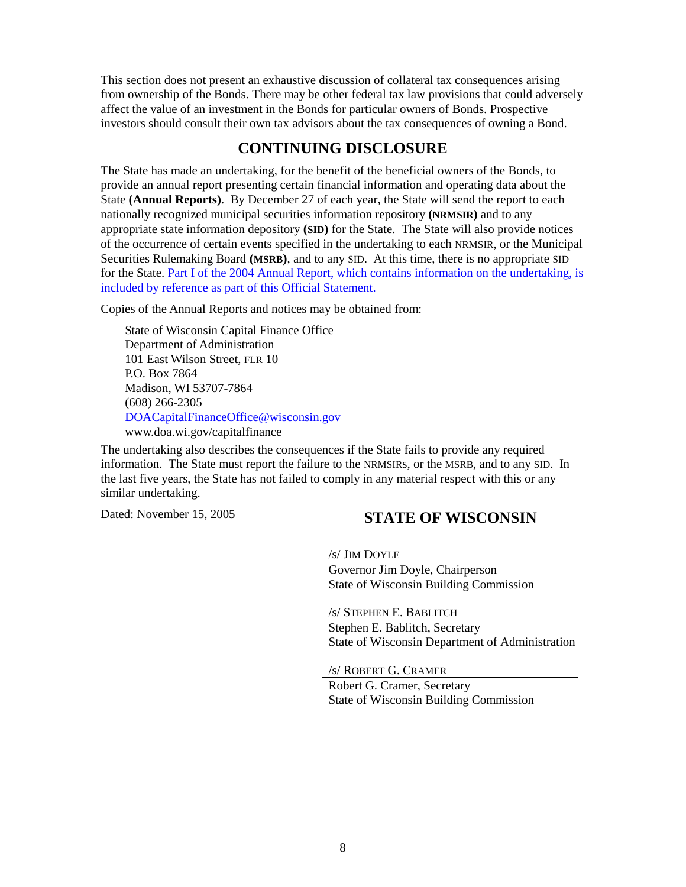<span id="page-11-0"></span>This section does not present an exhaustive discussion of collateral tax consequences arising from ownership of the Bonds. There may be other federal tax law provisions that could adversely affect the value of an investment in the Bonds for particular owners of Bonds. Prospective investors should consult their own tax advisors about the tax consequences of owning a Bond.

# **CONTINUING DISCLOSURE**

The State has made an undertaking, for the benefit of the beneficial owners of the Bonds, to provide an annual report presenting certain financial information and operating data about the State **(Annual Reports)**. By December 27 of each year, the State will send the report to each nationally recognized municipal securities information repository **(NRMSIR)** and to any appropriate state information depository **(SID)** for the State. The State will also provide notices of the occurrence of certain events specified in the undertaking to each NRMSIR, or the Municipal Securities Rulemaking Board **(MSRB)**, and to any SID. At this time, there is no appropriate SID [for the State. Part I of the 2004 Annual Report, which contains information on the undertaking, is](https://doa.wi.gov/DEBFCapitalFinance/2004/04dis1.pdf)  included by reference as part of this Official Statement.

Copies of the Annual Reports and notices may be obtained from:

State of Wisconsin Capital Finance Office Department of Administration 101 East Wilson Street, FLR 10 P.O. Box 7864 Madison, WI 53707-7864 (608) 266-2305 [DOACapitalFinanceOffice@wisconsin.gov](mailto: DOACapitalFinanceOffice@wisconsin.gov) www.doa.wi.gov/capitalfinance

The undertaking also describes the consequences if the State fails to provide any required information. The State must report the failure to the NRMSIRs, or the MSRB, and to any SID. In the last five years, the State has not failed to comply in any material respect with this or any similar undertaking.

# Dated: November 15, 2005 **STATE OF WISCONSIN**

/s/ JIM DOYLE

Governor Jim Doyle, Chairperson State of Wisconsin Building Commission

/s/ STEPHEN E. BABLITCH Stephen E. Bablitch, Secretary State of Wisconsin Department of Administration

/s/ ROBERT G. CRAMER

Robert G. Cramer, Secretary State of Wisconsin Building Commission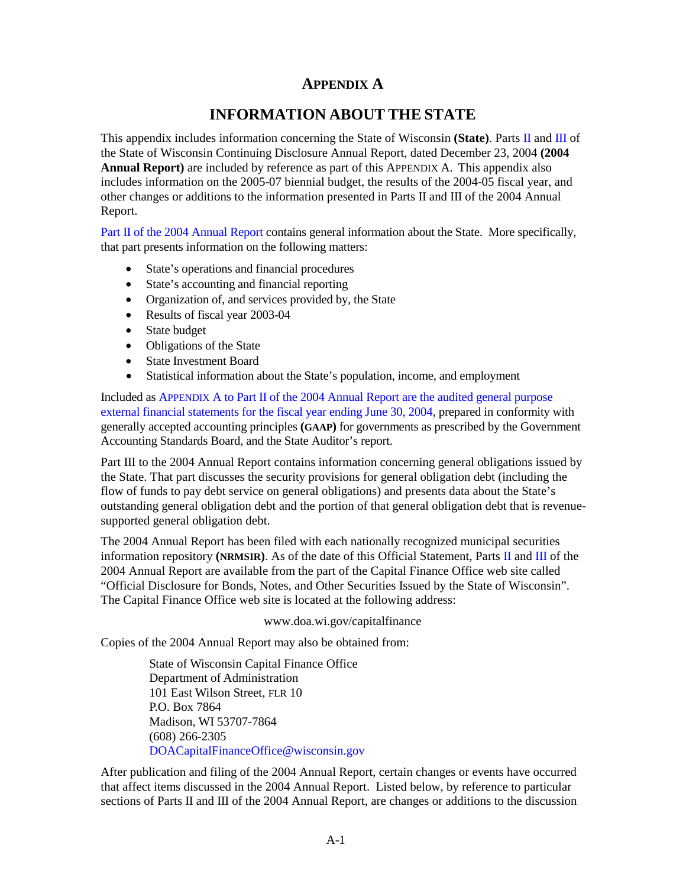# **APPENDIX A**

# **INFORMATION ABOUT THE STATE**

<span id="page-12-0"></span>This appendix includes information concerning the State of Wisconsin **(State)**. Part[s II a](https://doa.wi.gov/DEBFCapitalFinance/2004/04dis2.pdf)n[d III](https://doa.wi.gov/DEBFCapitalFinance/2004/04dis3.pdf) of the State of Wisconsin Continuing Disclosure Annual Report, dated December 23, 2004 **(2004 Annual Report)** are included by reference as part of this APPENDIX A. This appendix also includes information on the 2005-07 biennial budget, the results of the 2004-05 fiscal year, and other changes or additions to the information presented in Parts II and III of the 2004 Annual Report.

[Part II of the 2004 Annual Report co](https://doa.wi.gov/DEBFCapitalFinance/2004/04dis2.pdf)ntains general information about the State. More specifically, that part presents information on the following matters:

- State's operations and financial procedures
- State's accounting and financial reporting
- Organization of, and services provided by, the State
- Results of fiscal year 2003-04
- State budget
- Obligations of the State
- State Investment Board
- Statistical information about the State's population, income, and employment

Included as APPENDIX A to Part II of the 2004 Annual Report are the audited general purpose [external financial statements for the fiscal year ending June 30, 2004, prepared in conformity w](https://doa.wi.gov/DEBFCapitalFinance/2004/04dis2.pdf)ith generally accepted accounting principles **(GAAP)** for governments as prescribed by the Government Accounting Standards Board, and the State Auditor's report.

Part III to the 2004 Annual Report contains information concerning general obligations issued by the State. That part discusses the security provisions for general obligation debt (including the flow of funds to pay debt service on general obligations) and presents data about the State's outstanding general obligation debt and the portion of that general obligation debt that is revenuesupported general obligation debt.

The 2004 Annual Report has been filed with each nationally recognized municipal securities information repository **(NRMSIR)**. As of the date of this Official Statement, Part[s II a](https://doa.wi.gov/DEBFCapitalFinance/2004/04dis2.pdf)n[d III](https://doa.wi.gov/DEBFCapitalFinance/2004/04dis3.pdf) of the 2004 Annual Report are available from the part of the Capital Finance Office web site called "Official Disclosure for Bonds, Notes, and Other Securities Issued by the State of Wisconsin". The Capital Finance Office web site is located at the following address:

#### www.doa.wi.gov/capitalfinance

Copies of the 2004 Annual Report may also be obtained from:

State of Wisconsin Capital Finance Office Department of Administration 101 East Wilson Street, FLR 10 P.O. Box 7864 Madison, WI 53707-7864 (608) 266-2305 [DOACapitalFinanceOffice@wisconsin.gov](mailto: DOACapitalFinanceOffice@wisconsin.gov)

After publication and filing of the 2004 Annual Report, certain changes or events have occurred that affect items discussed in the 2004 Annual Report. Listed below, by reference to particular sections of Parts II and III of the 2004 Annual Report, are changes or additions to the discussion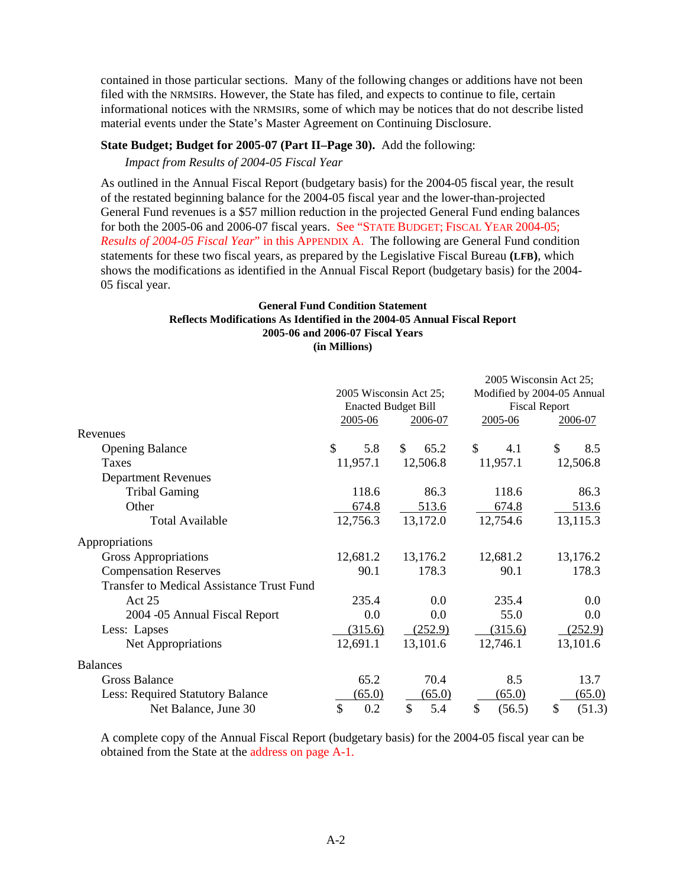contained in those particular sections. Many of the following changes or additions have not been filed with the NRMSIRs. However, the State has filed, and expects to continue to file, certain informational notices with the NRMSIRs, some of which may be notices that do not describe listed material events under the State's Master Agreement on Continuing Disclosure.

### **State Budget; Budget for 2005-07 (Part II–Page 30).** Add the following:

*Impact from Results of 2004-05 Fiscal Year* 

As outlined in the Annual Fiscal Report (budgetary basis) for the 2004-05 fiscal year, the result of the restated beginning balance for the 2004-05 fiscal year and the lower-than-projected General Fund revenues is a \$57 million reduction in the projected General Fund ending balances for both the 2005-06 and 2006-07 fiscal years. See "STATE BUDGET; FISCAL YEAR 2004-05; *Results of 2004-05 Fiscal Year*[" in this APPENDIX A. The following are General Fund conditio](#page-14-0)n statements for these two fiscal years, as prepared by the Legislative Fiscal Bureau **(LFB)**, which shows the modifications as identified in the Annual Fiscal Report (budgetary basis) for the 2004- 05 fiscal year.

#### **General Fund Condition Statement Reflects Modifications As Identified in the 2004-05 Annual Fiscal Report 2005-06 and 2006-07 Fiscal Years (in Millions)**

|                                                  |                            |            |              | 2005 Wisconsin Act 25;     |
|--------------------------------------------------|----------------------------|------------|--------------|----------------------------|
|                                                  | 2005 Wisconsin Act 25;     |            |              | Modified by 2004-05 Annual |
|                                                  | <b>Enacted Budget Bill</b> |            |              | <b>Fiscal Report</b>       |
|                                                  | 2005-06                    | 2006-07    | 2005-06      | 2006-07                    |
| Revenues                                         |                            |            |              |                            |
| <b>Opening Balance</b>                           | \$<br>5.8                  | \$<br>65.2 | \$<br>4.1    | \$<br>8.5                  |
| Taxes                                            | 11,957.1                   | 12,506.8   | 11,957.1     | 12,506.8                   |
| <b>Department Revenues</b>                       |                            |            |              |                            |
| <b>Tribal Gaming</b>                             | 118.6                      | 86.3       | 118.6        | 86.3                       |
| Other                                            | 674.8                      | 513.6      | 674.8        | 513.6                      |
| <b>Total Available</b>                           | 12,756.3                   | 13,172.0   | 12,754.6     | 13,115.3                   |
| Appropriations                                   |                            |            |              |                            |
| Gross Appropriations                             | 12,681.2                   | 13,176.2   | 12,681.2     | 13,176.2                   |
| <b>Compensation Reserves</b>                     | 90.1                       | 178.3      | 90.1         | 178.3                      |
| <b>Transfer to Medical Assistance Trust Fund</b> |                            |            |              |                            |
| Act 25                                           | 235.4                      | 0.0        | 235.4        | 0.0                        |
| 2004 -05 Annual Fiscal Report                    | 0.0                        | 0.0        | 55.0         | 0.0                        |
| Less: Lapses                                     | (315.6)                    | (252.9)    | (315.6)      | (252.9)                    |
| Net Appropriations                               | 12,691.1                   | 13,101.6   | 12,746.1     | 13,101.6                   |
| <b>Balances</b>                                  |                            |            |              |                            |
| <b>Gross Balance</b>                             | 65.2                       | 70.4       | 8.5          | 13.7                       |
| Less: Required Statutory Balance                 | (65.0)                     | (65.0)     | (65.0)       | (65.0)                     |
| Net Balance, June 30                             | \$<br>0.2                  | \$<br>5.4  | \$<br>(56.5) | (51.3)<br>S                |

A complete copy of the Annual Fiscal Report (budgetary basis) for the 2004-05 fiscal year can be obtained from the State at the [address on page A-1.](#page-12-0)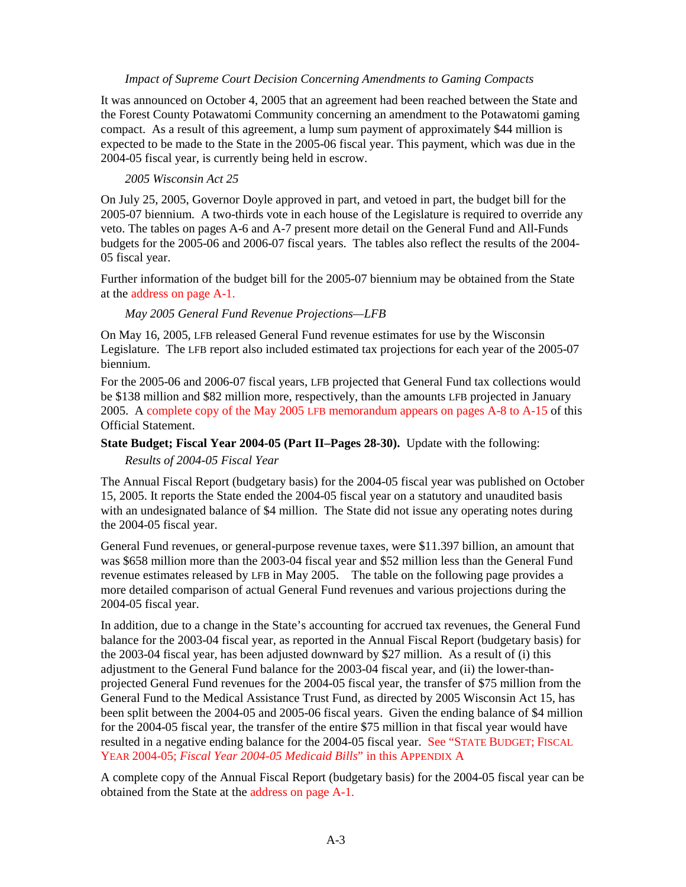#### *Impact of Supreme Court Decision Concerning Amendments to Gaming Compacts*

<span id="page-14-0"></span>It was announced on October 4, 2005 that an agreement had been reached between the State and the Forest County Potawatomi Community concerning an amendment to the Potawatomi gaming compact. As a result of this agreement, a lump sum payment of approximately \$44 million is expected to be made to the State in the 2005-06 fiscal year. This payment, which was due in the 2004-05 fiscal year, is currently being held in escrow.

#### *2005 Wisconsin Act 25*

On July 25, 2005, Governor Doyle approved in part, and vetoed in part, the budget bill for the 2005-07 biennium. A two-thirds vote in each house of the Legislature is required to override any veto. The tables on pages A-6 and A-7 present more detail on the General Fund and All-Funds budgets for the 2005-06 and 2006-07 fiscal years. The tables also reflect the results of the 2004- 05 fiscal year.

Further information of the budget bill for the 2005-07 biennium may be obtained from the State at th[e address on page A-1.](#page-12-0)

#### *May 2005 General Fund Revenue Projections—LFB*

On May 16, 2005, LFB released General Fund revenue estimates for use by the Wisconsin Legislature. The LFB report also included estimated tax projections for each year of the 2005-07 biennium.

For the 2005-06 and 2006-07 fiscal years, LFB projected that General Fund tax collections would be \$138 million and \$82 million more, respectively, than the amounts LFB projected in January 2005. [A complete copy of the May 2005 LFB memorandum appears on pages A-8 to A-15 o](#page-19-0)f this Official Statement.

#### **State Budget; Fiscal Year 2004-05 (Part II–Pages 28-30).** Update with the following:

*Results of 2004-05 Fiscal Year* 

The Annual Fiscal Report (budgetary basis) for the 2004-05 fiscal year was published on October 15, 2005. It reports the State ended the 2004-05 fiscal year on a statutory and unaudited basis with an undesignated balance of \$4 million. The State did not issue any operating notes during the 2004-05 fiscal year.

General Fund revenues, or general-purpose revenue taxes, were \$11.397 billion, an amount that was \$658 million more than the 2003-04 fiscal year and \$52 million less than the General Fund revenue estimates released by LFB in May 2005. The table on the following page provides a more detailed comparison of actual General Fund revenues and various projections during the 2004-05 fiscal year.

In addition, due to a change in the State's accounting for accrued tax revenues, the General Fund balance for the 2003-04 fiscal year, as reported in the Annual Fiscal Report (budgetary basis) for the 2003-04 fiscal year, has been adjusted downward by \$27 million. As a result of (i) this adjustment to the General Fund balance for the 2003-04 fiscal year, and (ii) the lower-thanprojected General Fund revenues for the 2004-05 fiscal year, the transfer of \$75 million from the General Fund to the Medical Assistance Trust Fund, as directed by 2005 Wisconsin Act 15, has been split between the 2004-05 and 2005-06 fiscal years. Given the ending balance of \$4 million for the 2004-05 fiscal year, the transfer of the entire \$75 million in that fiscal year would have [resulted in a negative ending balance for the 2004-05 fiscal year. See "STATE](#page-16-0) BUDGET; FISCAL YEAR 2004-05; *Fiscal Year 2004-05 Medicaid Bills*" in this APPENDIX A

A complete copy of the Annual Fiscal Report (budgetary basis) for the 2004-05 fiscal year can be obtained from the State at th[e address on page A-1.](#page-12-0)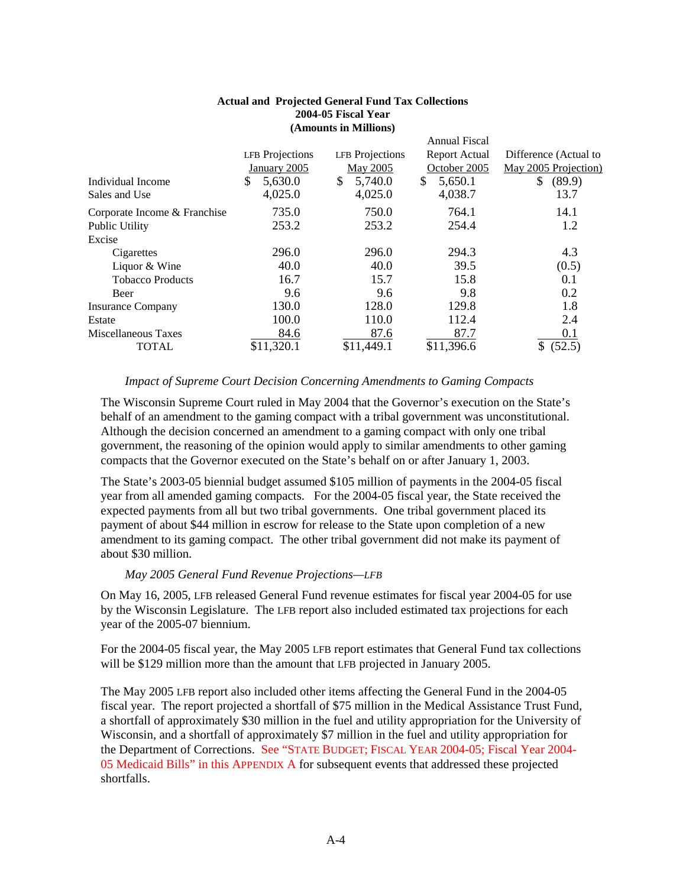|                 |                 | <b>Annual Fiscal</b> |                       |
|-----------------|-----------------|----------------------|-----------------------|
| LFB Projections | LFB Projections | <b>Report Actual</b> | Difference (Actual to |
| January 2005    | <b>May 2005</b> | October 2005         | May 2005 Projection)  |
| 5,630.0<br>\$   | 5,740.0<br>\$   | 5,650.1<br>\$        | \$<br>(89.9)          |
| 4,025.0         | 4,025.0         | 4,038.7              | 13.7                  |
| 735.0           | 750.0           | 764.1                | 14.1                  |
| 253.2           | 253.2           | 254.4                | 1.2                   |
|                 |                 |                      |                       |
| 296.0           | 296.0           | 294.3                | 4.3                   |
| 40.0            | 40.0            | 39.5                 | (0.5)                 |
| 16.7            | 15.7            | 15.8                 | 0.1                   |
| 9.6             | 9.6             | 9.8                  | 0.2                   |
| 130.0           | 128.0           | 129.8                | 1.8                   |
| 100.0           | 110.0           | 112.4                | 2.4                   |
| 84.6            | 87.6            | 87.7                 | 0.1                   |
| \$11,320.1      | \$11,449.1      | \$11,396.6           | (52.5)<br>\$          |
|                 |                 |                      |                       |

#### **Actual and Projected General Fund Tax Collections 2004-05 Fiscal Year (Amounts in Millions)**

### *Impact of Supreme Court Decision Concerning Amendments to Gaming Compacts*

The Wisconsin Supreme Court ruled in May 2004 that the Governor's execution on the State's behalf of an amendment to the gaming compact with a tribal government was unconstitutional. Although the decision concerned an amendment to a gaming compact with only one tribal government, the reasoning of the opinion would apply to similar amendments to other gaming compacts that the Governor executed on the State's behalf on or after January 1, 2003.

The State's 2003-05 biennial budget assumed \$105 million of payments in the 2004-05 fiscal year from all amended gaming compacts. For the 2004-05 fiscal year, the State received the expected payments from all but two tribal governments. One tribal government placed its payment of about \$44 million in escrow for release to the State upon completion of a new amendment to its gaming compact. The other tribal government did not make its payment of about \$30 million.

# *May 2005 General Fund Revenue Projections—LFB*

On May 16, 2005, LFB released General Fund revenue estimates for fiscal year 2004-05 for use by the Wisconsin Legislature. The LFB report also included estimated tax projections for each year of the 2005-07 biennium.

For the 2004-05 fiscal year, the May 2005 LFB report estimates that General Fund tax collections will be \$129 million more than the amount that LFB projected in January 2005.

The May 2005 LFB report also included other items affecting the General Fund in the 2004-05 fiscal year. The report projected a shortfall of \$75 million in the Medical Assistance Trust Fund, a shortfall of approximately \$30 million in the fuel and utility appropriation for the University of Wisconsin, and a shortfall of approximately \$7 million in the fuel and utility appropriation for the Department of Corrections. See "STATE BUDGET; FISCAL YEAR 2004-05; Fiscal Year 2004- [05 Medicaid Bills" in this APPENDIX A for subsequent events that addressed these projected](#page-16-0)  shortfalls.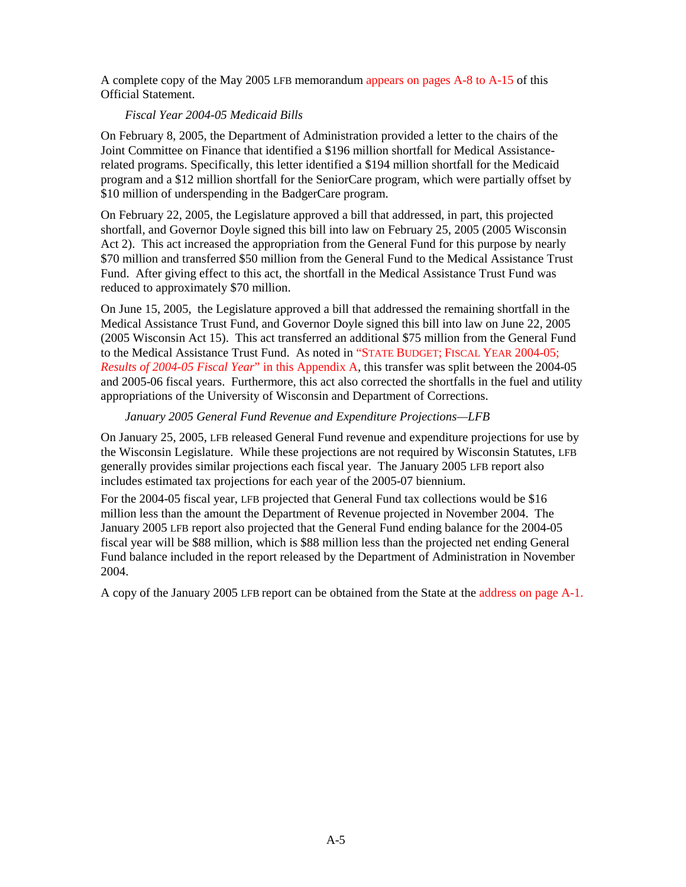<span id="page-16-0"></span>A complete copy of the May 2005 LFB memorandum [appears on pages A-8 to A-15 o](#page-19-0)f this Official Statement.

### *Fiscal Year 2004-05 Medicaid Bills*

On February 8, 2005, the Department of Administration provided a letter to the chairs of the Joint Committee on Finance that identified a \$196 million shortfall for Medical Assistancerelated programs. Specifically, this letter identified a \$194 million shortfall for the Medicaid program and a \$12 million shortfall for the SeniorCare program, which were partially offset by \$10 million of underspending in the BadgerCare program.

On February 22, 2005, the Legislature approved a bill that addressed, in part, this projected shortfall, and Governor Doyle signed this bill into law on February 25, 2005 (2005 Wisconsin Act 2). This act increased the appropriation from the General Fund for this purpose by nearly \$70 million and transferred \$50 million from the General Fund to the Medical Assistance Trust Fund. After giving effect to this act, the shortfall in the Medical Assistance Trust Fund was reduced to approximately \$70 million.

On June 15, 2005, the Legislature approved a bill that addressed the remaining shortfall in the Medical Assistance Trust Fund, and Governor Doyle signed this bill into law on June 22, 2005 (2005 Wisconsin Act 15). This act transferred an additional \$75 million from the General Fund to the Medical Assistance Trust Fund. As noted in "STATE BUDGET; FISCAL YEAR 2004-05; *Results of 2004-05 Fiscal Year*[" in this Appendix A, this transfer was split between the 2004-0](#page-14-0)5 and 2005-06 fiscal years. Furthermore, this act also corrected the shortfalls in the fuel and utility appropriations of the University of Wisconsin and Department of Corrections.

### *January 2005 General Fund Revenue and Expenditure Projections—LFB*

On January 25, 2005, LFB released General Fund revenue and expenditure projections for use by the Wisconsin Legislature. While these projections are not required by Wisconsin Statutes, LFB generally provides similar projections each fiscal year. The January 2005 LFB report also includes estimated tax projections for each year of the 2005-07 biennium.

For the 2004-05 fiscal year, LFB projected that General Fund tax collections would be \$16 million less than the amount the Department of Revenue projected in November 2004. The January 2005 LFB report also projected that the General Fund ending balance for the 2004-05 fiscal year will be \$88 million, which is \$88 million less than the projected net ending General Fund balance included in the report released by the Department of Administration in November 2004.

A copy of the January 2005 LFB report can be obtained from the State at th[e address on page A-1.](#page-12-0)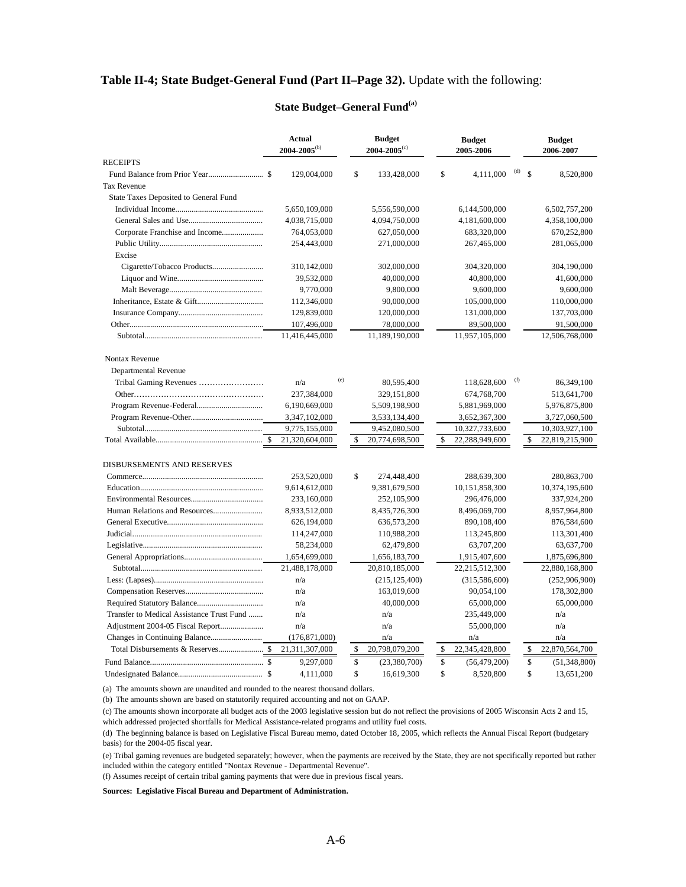#### **Table II-4; State Budget-General Fund (Part II–Page 32).** Update with the following:

#### **Actual 2004-2005**(b) **Budget 2004-2005**(c) **Budget 2005-2006 Budget 2006-2007 RECEIPTS**  Fund Balance from Prior Year........................... \$ 129,004,000 \$ 133,428,000 \$ 4,111,000 (d) \$ 8,520,800 Tax Revenue State Taxes Deposited to General Fund Individual Income........................................... 5,650,109,000 5,556,590,000 6,144,500,000 6,502,757,200 General Sales and Use.................................... 4,038,715,000 4,094,750,000 4,181,600,000 4,358,100,000 Corporate Franchise and Income.................... 764,053,000 627,050,000 683,320,000 670,252,800 Public Utility.................................................. 254,443,000 271,000,000 267,465,000 281,065,000 Excise Cigarette/Tobacco Products......................... 310,142,000 302,000,000 304,320,000 304,190,000 Liquor and Wine.......................................... 39,532,000 40,000,000 40,800,000 41,600,000 Malt Beverage............................................. 9,770,000 9,800,000 9,600,000 9,600,000 Inheritance, Estate & Gift................................ 112,346,000 90,000,000 105,000,000 110,000,000 Insurance Company......................................... 129,839,000 120,000,000 131,000,000 137,703,000 Other................................................................. 107,496,000 78,000,000 89,500,000 91,500,000 Subtotal......................................................... 11,416,445,000 11,189,190,000 11,957,105,000 12,506,768,000 Nontax Revenue Departmental Revenue Tribal Gaming Revenues …………………… n/a (e) 80,595,400 118,628,600 (f) 86,349,100 Other………………………………………… 237,384,000 329,151,800 674,768,700 513,641,700 Program Revenue-Federal................................ 6,190,669,000 5,509,198,900 5,881,969,000 5,976,875,800 Program Revenue-Other................................... 3,347,102,000 3,533,134,400 3,652,367,300 3,727,060,500 Subtotal......................................................... 9,775,155,000 9,452,080,500 10,327,733,600 10,303,927,100 Total Available.................................................... \$ 21,320,604,000 \$ 20,774,698,500 \$ 22,288,949,600 \$ 22,819,215,900 DISBURSEMENTS AND RESERVES Commerce........................................................... 253,520,000 \$ 274,448,400 288,639,300 280,863,700 Education............................................................ 9,614,612,000 9,381,679,500 10,151,858,300 10,374,195,600 Environmental Resources................................... 233,160,000 252,105,900 296,476,000 337,924,200 Human Relations and Resources........................ 8,933,512,000 8,435,726,300 8,496,069,700 8,957,964,800 General Executive............................................... 626,194,000 636,573,200 890,108,400 876,584,600 Judicial............................................................... 114,247,000 110,988,200 113,245,800 113,301,400 Legislative.......................................................... 58,234,000 62,479,800 63,707,200 63,637,700 General Appropriations...................................... 1,654,699,000 1,656,183,700 1,915,407,600 1,875,696,800 Subtotal........................................................... 21,488,178,000 20,810,185,000 22,215,512,300 22,880,168,800 Less: (Lapses)..................................................... n/a (215,125,400) (315,586,600) (252,906,900) Compensation Reserves...................................... n/a 163,019,600 90,054,100 178,302,800 Required Statutory Balance................................ n/a 40,000,000 65,000,000 65,000,000 Transfer to Medical Assistance Trust Fund ....... n/a n/a n/a 235,449,000 n/a Adjustment 2004-05 Fiscal Report..................... n/a n/a 55,000,000 n/a Changes in Continuing Balance......................... (176,871,000) n/a n/a n/a Total Disbursements & Reserves...................... \$ 21,311,307,000 \$ 20,798,079,200 \$ 22,345,428,800 \$ 22,870,564,700 Fund Balance....................................................... \$ 9,297,000 \$ (23,380,700) \$ (56,479,200) \$ (51,348,800) Undesignated Balance......................................... \$ 4,111,000 \$ 16,619,300 \$ 8,520,800 \$ 13,651,200

#### **State Budget–General Fund(a)**

(a) The amounts shown are unaudited and rounded to the nearest thousand dollars.

(b) The amounts shown are based on statutorily required accounting and not on GAAP.

(c) The amounts shown incorporate all budget acts of the 2003 legislative session but do not reflect the provisions of 2005 Wisconsin Acts 2 and 15, which addressed projected shortfalls for Medical Assistance-related programs and utility fuel costs.

(d) The beginning balance is based on Legislative Fiscal Bureau memo, dated October 18, 2005, which reflects the Annual Fiscal Report (budgetary basis) for the 2004-05 fiscal year.

(e) Tribal gaming revenues are budgeted separately; however, when the payments are received by the State, they are not specifically reported but rather included within the category entitled "Nontax Revenue - Departmental Revenue".

(f) Assumes receipt of certain tribal gaming payments that were due in previous fiscal years.

#### **Sources: Legislative Fiscal Bureau and Department of Administration.**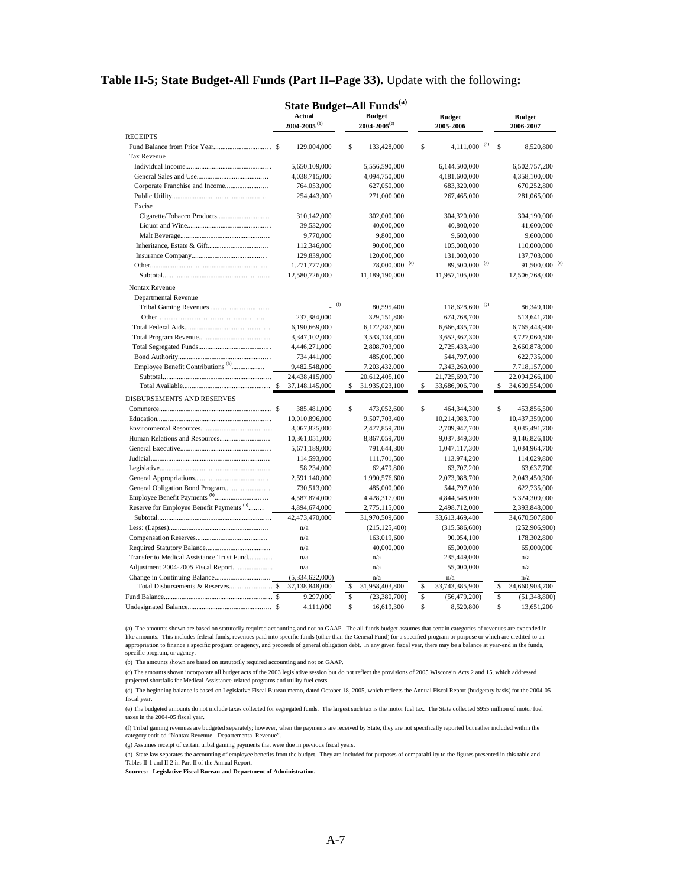#### **Table II-5; State Budget-All Funds (Part II–Page 33).** Update with the following**:**

|                                                      | <b>State Budget-All Funds</b> <sup>(a)</sup><br><b>Actual</b><br><b>Budget</b><br><b>Budget</b><br>$2004 - 2005$ <sup>(b)</sup><br>$2004 - 2005(c)$ |     |                             | <b>Budget</b>             |                            |     |             |                |  |
|------------------------------------------------------|-----------------------------------------------------------------------------------------------------------------------------------------------------|-----|-----------------------------|---------------------------|----------------------------|-----|-------------|----------------|--|
|                                                      |                                                                                                                                                     |     |                             | 2005-2006                 |                            |     |             | 2006-2007      |  |
| <b>RECEIPTS</b>                                      |                                                                                                                                                     |     |                             |                           |                            |     |             |                |  |
|                                                      | 129,004,000                                                                                                                                         |     | \$<br>133,428,000           | \$                        | $4,111,000$ <sup>(d)</sup> |     | S           | 8,520,800      |  |
| <b>Tax Revenue</b>                                   |                                                                                                                                                     |     |                             |                           |                            |     |             |                |  |
|                                                      | 5,650,109,000                                                                                                                                       |     | 5,556,590,000               | 6,144,500,000             |                            |     |             | 6,502,757,200  |  |
|                                                      | 4,038,715,000                                                                                                                                       |     | 4,094,750,000               | 4,181,600,000             |                            |     |             | 4,358,100,000  |  |
| Corporate Franchise and Income                       | 764,053,000                                                                                                                                         |     | 627,050,000                 | 683,320,000               |                            |     |             | 670,252,800    |  |
|                                                      | 254,443,000                                                                                                                                         |     | 271,000,000                 | 267,465,000               |                            |     |             | 281,065,000    |  |
| Excise                                               |                                                                                                                                                     |     |                             |                           |                            |     |             |                |  |
|                                                      | 310,142,000                                                                                                                                         |     | 302,000,000                 | 304,320,000               |                            |     |             | 304,190,000    |  |
|                                                      | 39,532,000                                                                                                                                          |     | 40,000,000                  | 40,800,000                |                            |     |             | 41,600,000     |  |
|                                                      | 9,770,000                                                                                                                                           |     | 9,800,000                   |                           | 9,600,000                  |     |             | 9,600,000      |  |
|                                                      | 112,346,000                                                                                                                                         |     | 90,000,000                  | 105,000,000               |                            |     |             | 110,000,000    |  |
|                                                      | 129,839,000                                                                                                                                         |     | 120,000,000                 | 131,000,000               |                            |     |             | 137,703,000    |  |
|                                                      | 1,271,777,000                                                                                                                                       |     | $78,000,000$ <sup>(e)</sup> | 89,500,000 <sup>(e)</sup> |                            |     |             | 91,500,000     |  |
|                                                      | 12,580,726,000                                                                                                                                      |     | 11,189,190,000              | 11,957,105,000            |                            |     |             | 12,506,768,000 |  |
| Nontax Revenue                                       |                                                                                                                                                     |     |                             |                           |                            |     |             |                |  |
| Departmental Revenue                                 |                                                                                                                                                     |     |                             |                           |                            |     |             |                |  |
| Tribal Gaming Revenues                               |                                                                                                                                                     | (f) | 80,595,400                  | 118,628,600               |                            | (g) |             | 86,349,100     |  |
|                                                      | 237,384,000                                                                                                                                         |     | 329,151,800                 | 674,768,700               |                            |     |             | 513,641,700    |  |
|                                                      | 6,190,669,000                                                                                                                                       |     | 6,172,387,600               | 6,666,435,700             |                            |     |             | 6,765,443,900  |  |
|                                                      | 3,347,102,000                                                                                                                                       |     | 3,533,134,400               | 3,652,367,300             |                            |     |             | 3,727,060,500  |  |
|                                                      | 4,446,271,000                                                                                                                                       |     | 2,808,703,900               | 2,725,433,400             |                            |     |             | 2,660,878,900  |  |
|                                                      | 734,441,000                                                                                                                                         |     | 485,000,000                 | 544,797,000               |                            |     |             | 622,735,000    |  |
| Employee Benefit Contributions <sup>(h)</sup>        | 9,482,548,000                                                                                                                                       |     | 7,203,432,000               | 7,343,260,000             |                            |     |             | 7,718,157,000  |  |
|                                                      | 24,438,415,000                                                                                                                                      |     | 20,612,405,100              | 21,725,690,700            |                            |     |             | 22,094,266,100 |  |
|                                                      | 37,148,145,000                                                                                                                                      |     | \$<br>31,935,023,100        | \$<br>33,686,906,700      |                            |     | \$          | 34,609,554,900 |  |
|                                                      |                                                                                                                                                     |     |                             |                           |                            |     |             |                |  |
| DISBURSEMENTS AND RESERVES                           |                                                                                                                                                     |     |                             |                           |                            |     |             |                |  |
|                                                      | 385,481,000                                                                                                                                         |     | \$<br>473,052,600           | \$<br>464,344,300         |                            |     | \$          | 453,856,500    |  |
|                                                      | 10,010,896,000                                                                                                                                      |     | 9,507,703,400               | 10,214,983,700            |                            |     |             | 10,437,359,000 |  |
|                                                      | 3,067,825,000                                                                                                                                       |     | 2,477,859,700               | 2,709,947,700             |                            |     |             | 3,035,491,700  |  |
|                                                      | 10,361,051,000                                                                                                                                      |     | 8,867,059,700               | 9,037,349,300             |                            |     |             | 9,146,826,100  |  |
|                                                      | 5,671,189,000                                                                                                                                       |     | 791,644,300                 | 1,047,117,300             |                            |     |             | 1,034,964,700  |  |
|                                                      | 114,593,000                                                                                                                                         |     | 111,701,500                 | 113,974,200               |                            |     |             | 114,029,800    |  |
|                                                      | 58,234,000                                                                                                                                          |     | 62,479,800                  | 63,707,200                |                            |     |             | 63,637,700     |  |
|                                                      | 2,591,140,000                                                                                                                                       |     | 1,990,576,600               | 2,073,988,700             |                            |     |             | 2,043,450,300  |  |
| General Obligation Bond Program                      | 730,513,000                                                                                                                                         |     | 485,000,000                 | 544,797,000               |                            |     |             | 622,735,000    |  |
|                                                      | 4,587,874,000                                                                                                                                       |     | 4,428,317,000               | 4,844,548,000             |                            |     |             | 5,324,309,000  |  |
| Reserve for Employee Benefit Payments <sup>(h)</sup> | 4,894,674,000                                                                                                                                       |     | 2,775,115,000               | 2,498,712,000             |                            |     |             | 2,393,848,000  |  |
|                                                      | 42,473,470,000                                                                                                                                      |     | 31,970,509,600              | 33,613,469,400            |                            |     |             | 34,670,507,800 |  |
|                                                      | n/a                                                                                                                                                 |     | (215, 125, 400)             | (315, 586, 600)           |                            |     |             | (252,906,900)  |  |
|                                                      | n/a                                                                                                                                                 |     | 163,019,600                 | 90,054,100                |                            |     |             | 178,302,800    |  |
|                                                      | n/a                                                                                                                                                 |     | 40,000,000                  | 65,000,000                |                            |     |             | 65,000,000     |  |
| Transfer to Medical Assistance Trust Fund            | n/a                                                                                                                                                 |     | n/a                         | 235,449,000               |                            |     |             | n/a            |  |
|                                                      | n/a                                                                                                                                                 |     | n/a                         | 55,000,000                |                            |     |             | n/a            |  |
|                                                      | (5,334,622,000)                                                                                                                                     |     | n/a                         | n/a                       |                            |     |             | n/a            |  |
|                                                      | 37,138,848,000                                                                                                                                      |     | \$<br>31,958,403,800        | \$<br>33,743,385,900      |                            |     | \$          | 34,660,903,700 |  |
|                                                      | 9,297,000                                                                                                                                           |     | \$<br>(23,380,700)          | \$<br>(56, 479, 200)      |                            |     | $\mathbb S$ | (51, 348, 800) |  |
|                                                      | 4.111.000                                                                                                                                           |     | \$<br>16.619.300            | \$                        | 8.520.800                  |     | \$.         | 13.651.200     |  |

(a) The amounts shown are based on statutorily required accounting and not on GAAP. The all-funds budget assumes that certain categories of revenues are expended in like amounts. This includes federal funds, revenues paid into specific funds (other than the General Fund) for a specified program or purpose or which are credited to an<br>appropriation to finance a specific program or agenc specific program, or agency.

(b) The amounts shown are based on statutorily required accounting and not on GAAP.

(c) The amounts shown incorporate all budget acts of the 2003 legislative session but do not reflect the provisions of 2005 Wisconsin Acts 2 and 15, which addressed projected shortfalls for Medical Assistance-related programs and utility fuel costs.

(d) The beginning balance is based on Legislative Fiscal Bureau memo, dated October 18, 2005, which reflects the Annual Fiscal Report (budgetary basis) for the 2004-05 fiscal year.

(e) The budgeted amounts do not include taxes collected for segregated funds. The largest such tax is the motor fuel tax. The State collected \$955 million of motor fuel taxes in the 2004-05 fiscal year.

(f) Tribal gaming revenues are budgeted separately; however, when the payments are received by State, they are not specifically reported but rather included within the category entitled "Nontax Revenue - Departemental Revenue".

(g) Assumes receipt of certain tribal gaming payments that were due in previous fiscal years.

(h) State law separates the accounting of employee benefits from the budget. They are included for purposes of comparability to the figures presented in this table and Tables II-1 and II-2 in Part II of the Annual Report.

**Sources: Legislative Fiscal Bureau and Department of Administration.**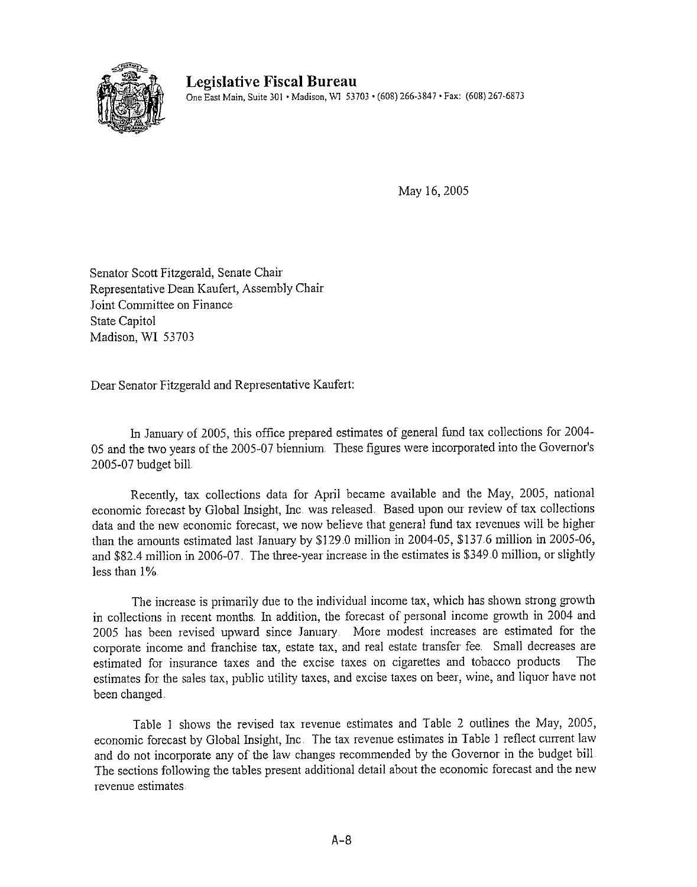

May 16, 2005

Senator Scott Fitzgerald, Senate Chair Representative Dean Kaufert, Assembly Chair Joint Committee on Finance **State Capitol** Madison, WI 53703

Dear Senator Fitzgerald and Representative Kaufert:

In January of 2005, this office prepared estimates of general fund tax collections for 2004-05 and the two years of the 2005-07 biennium. These figures were incorporated into the Governor's 2005-07 budget bill.

Recently, tax collections data for April became available and the May, 2005, national economic forecast by Global Insight, Inc. was released. Based upon our review of tax collections data and the new economic forecast, we now believe that general fund tax revenues will be higher than the amounts estimated last January by \$129.0 million in 2004-05, \$137.6 million in 2005-06, and \$82.4 million in 2006-07. The three-year increase in the estimates is \$349.0 million, or slightly less than 1%.

The increase is primarily due to the individual income tax, which has shown strong growth in collections in recent months. In addition, the forecast of personal income growth in 2004 and 2005 has been revised upward since January. More modest increases are estimated for the corporate income and franchise tax, estate tax, and real estate transfer fee. Small decreases are estimated for insurance taxes and the excise taxes on cigarettes and tobacco products. The estimates for the sales tax, public utility taxes, and excise taxes on beer, wine, and liquor have not been changed.

Table 1 shows the revised tax revenue estimates and Table 2 outlines the May, 2005, economic forecast by Global Insight, Inc. The tax revenue estimates in Table 1 reflect current law and do not incorporate any of the law changes recommended by the Governor in the budget bill The sections following the tables present additional detail about the economic forecast and the new revenue estimates.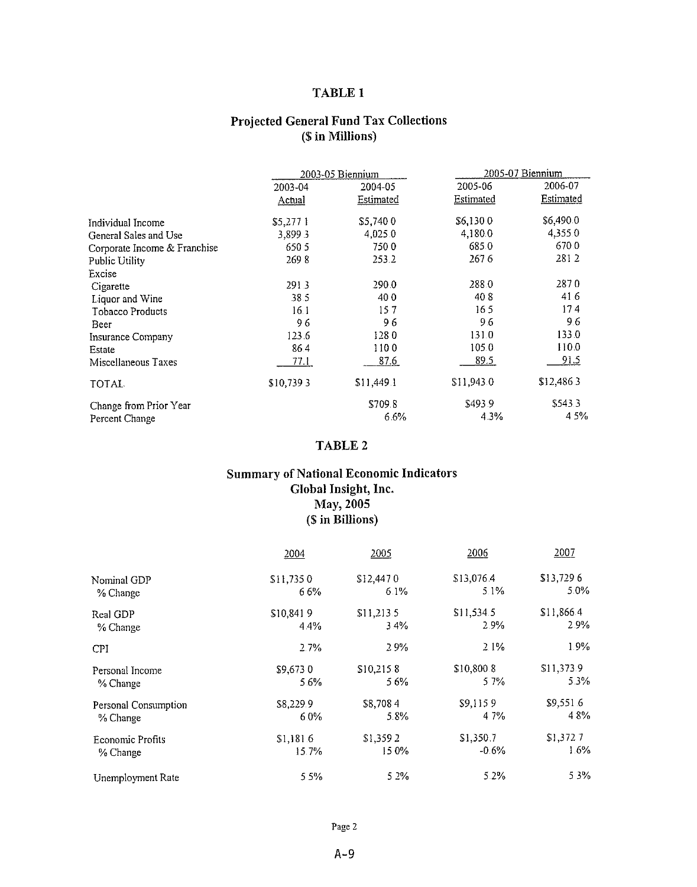# **TABLE 1**

# **Projected General Fund Tax Collections** (\$ in Millions)

|                              |           | 2003-05 Biennium | 2005-07 Biennium |             |  |
|------------------------------|-----------|------------------|------------------|-------------|--|
|                              | 2003-04   | 2004-05          | 2005-06          | 2006-07     |  |
|                              | Actual    | Estimated        | Estimated        | Estimated   |  |
| Individual Income            | \$5,2771  | \$5,7400         | \$6,1300         | \$6,490.0   |  |
| General Sales and Use        | 3,8993    | 4,025.0          | 4,1800           | 4,355.0     |  |
| Corporate Income & Franchise | 650 5     | 7500             | 685.0            | 670.0       |  |
| Public Utility               | 2698      | 253.2            | 267 6            | 2812        |  |
| Excise                       |           |                  |                  |             |  |
| Cigarette                    | 2913      | 290.0            | 288.0            | 2870        |  |
| Liquor and Wine              | 38.5      | 400              | 408              | 41.6        |  |
| <b>Tobacco Products</b>      | 16.1      | 157              | 165              | 174         |  |
| Beer                         | 96        | 96               | 96               | 9.6         |  |
| Insurance Company            | 123.6     | 1280             | 131.0            | 133.0       |  |
| Estate                       | 86.4      | 1100             | 105.0            | 1100        |  |
| Miscellaneous Taxes          | 77 L      | 87.6             | 89.5             | <u>91.5</u> |  |
| TOTAL.                       | \$10,7393 | \$11,449.1       | \$11,943.0       | \$12,4863   |  |
| Change from Prior Year       |           | \$709.8          | \$493.9          | \$543.3     |  |
| Percent Change               |           | 6.6%             | 4.3%             | 4.5%        |  |

# TABLE 2

# **Summary of National Economic Indicators** Global Insight, Inc. May, 2005 (\$ in Billions)

|                      | 2004      | 2005       | 2006       | 2007       |
|----------------------|-----------|------------|------------|------------|
| Nominal GDP          | \$11,7350 | \$12,4470  | \$13,076.4 | \$13,7296  |
| % Change             | 66%       | 6.1%       | $5.1\%$    | $5.0\%$    |
| Real GDP             | \$10,8419 | \$11,213.5 | \$11,534.5 | \$11,866.4 |
| % Change             | 4.4%      | 3.4%       | 2.9%       | $2.9\%$    |
| CPI                  | 2.7%      | 29%        | 2.1%       | 1.9%       |
| Personal Income      | \$9,6730  | \$10,215.8 | \$10,800.8 | \$11,373.9 |
| % Change             | 5.6%      | 56%        | 5 7%       | 53%        |
| Personal Consumption | \$8,229.9 | \$8,7084   | \$9,1159   | \$9,551.6  |
| % Change             | 6.0%      | 5.8%       | 4 7%       | 48%        |
| Economic Profits     | \$1,181.6 | \$1,3592   | \$1,350.7  | \$1,372.7  |
| % Change             | 15.7%     | 15 0%      | $-0.6\%$   | 1.6%       |
| Unemployment Rate    | 5 5%      | 5 2%       | 5.2%       | 5.3%       |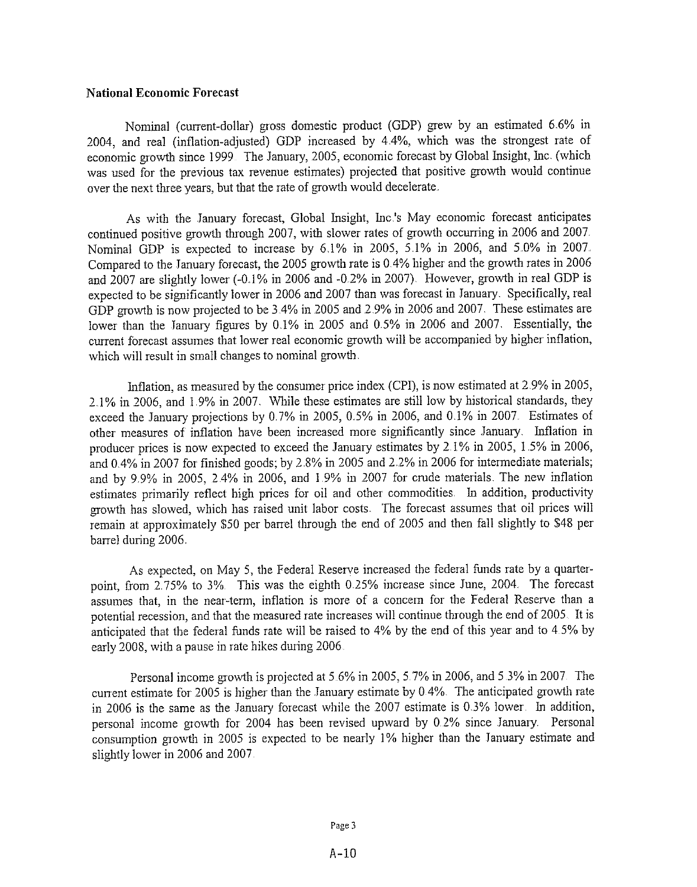#### **National Economic Forecast**

Nominal (current-dollar) gross domestic product (GDP) grew by an estimated 6.6% in 2004, and real (inflation-adjusted) GDP increased by 4.4%, which was the strongest rate of economic growth since 1999. The January, 2005, economic forecast by Global Insight, Inc. (which was used for the previous tax revenue estimates) projected that positive growth would continue over the next three years, but that the rate of growth would decelerate.

As with the January forecast, Global Insight, Inc.'s May economic forecast anticipates continued positive growth through 2007, with slower rates of growth occurring in 2006 and 2007. Nominal GDP is expected to increase by 6.1% in 2005, 5.1% in 2006, and 5.0% in 2007. Compared to the January forecast, the 2005 growth rate is 0.4% higher and the growth rates in 2006 and 2007 are slightly lower (-0.1% in 2006 and -0.2% in 2007). However, growth in real GDP is expected to be significantly lower in 2006 and 2007 than was forecast in January. Specifically, real GDP growth is now projected to be 3.4% in 2005 and 2.9% in 2006 and 2007. These estimates are lower than the January figures by 0.1% in 2005 and 0.5% in 2006 and 2007. Essentially, the current forecast assumes that lower real economic growth will be accompanied by higher inflation, which will result in small changes to nominal growth.

Inflation, as measured by the consumer price index (CPI), is now estimated at 2.9% in 2005, 2.1% in 2006, and 1.9% in 2007. While these estimates are still low by historical standards, they exceed the January projections by 0.7% in 2005, 0.5% in 2006, and 0.1% in 2007. Estimates of other measures of inflation have been increased more significantly since January. Inflation in producer prices is now expected to exceed the January estimates by 2.1% in 2005, 1.5% in 2006, and 0.4% in 2007 for finished goods; by 2.8% in 2005 and 2.2% in 2006 for intermediate materials; and by 9.9% in 2005, 2.4% in 2006, and 1.9% in 2007 for crude materials. The new inflation estimates primarily reflect high prices for oil and other commodities. In addition, productivity growth has slowed, which has raised unit labor costs. The forecast assumes that oil prices will remain at approximately \$50 per barrel through the end of 2005 and then fall slightly to \$48 per barrel during 2006.

As expected, on May 5, the Federal Reserve increased the federal funds rate by a quarterpoint, from 2.75% to 3%. This was the eighth 0.25% increase since June, 2004. The forecast assumes that, in the near-term, inflation is more of a concern for the Federal Reserve than a potential recession, and that the measured rate increases will continue through the end of 2005. It is anticipated that the federal funds rate will be raised to 4% by the end of this year and to 4.5% by early 2008, with a pause in rate hikes during 2006.

Personal income growth is projected at 5.6% in 2005, 5.7% in 2006, and 5.3% in 2007. The current estimate for 2005 is higher than the January estimate by 0.4%. The anticipated growth rate in 2006 is the same as the January forecast while the 2007 estimate is  $0.3\%$  lower. In addition, personal income growth for 2004 has been revised upward by 0.2% since January. Personal consumption growth in 2005 is expected to be nearly 1% higher than the January estimate and slightly lower in 2006 and 2007.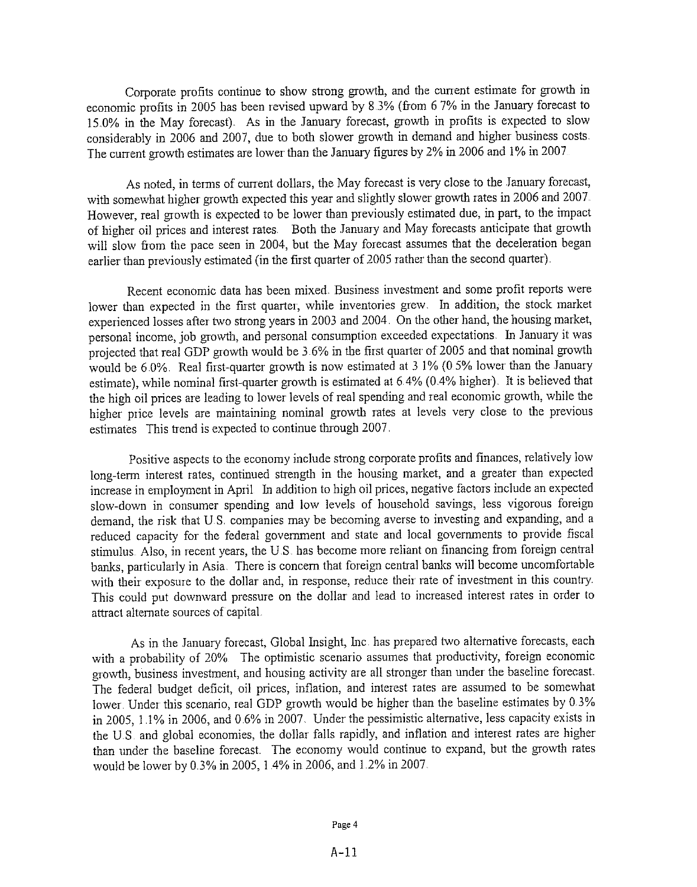Corporate profits continue to show strong growth, and the current estimate for growth in economic profits in 2005 has been revised upward by 8.3% (from 6 7% in the January forecast to 15.0% in the May forecast). As in the January forecast, growth in profits is expected to slow considerably in 2006 and 2007, due to both slower growth in demand and higher business costs. The current growth estimates are lower than the January figures by 2% in 2006 and 1% in 2007.

As noted, in terms of current dollars, the May forecast is very close to the January forecast, with somewhat higher growth expected this year and slightly slower growth rates in 2006 and 2007. However, real growth is expected to be lower than previously estimated due, in part, to the impact of higher oil prices and interest rates. Both the January and May forecasts anticipate that growth will slow from the pace seen in 2004, but the May forecast assumes that the deceleration began earlier than previously estimated (in the first quarter of 2005 rather than the second quarter).

Recent economic data has been mixed. Business investment and some profit reports were lower than expected in the first quarter, while inventories grew. In addition, the stock market experienced losses after two strong years in 2003 and 2004. On the other hand, the housing market, personal income, job growth, and personal consumption exceeded expectations. In January it was projected that real GDP growth would be 3.6% in the first quarter of 2005 and that nominal growth would be 6.0%. Real first-quarter growth is now estimated at 3 1% (0.5% lower than the January estimate), while nominal first-quarter growth is estimated at 6.4% (0.4% higher). It is believed that the high oil prices are leading to lower levels of real spending and real economic growth, while the higher price levels are maintaining nominal growth rates at levels very close to the previous estimates This trend is expected to continue through 2007.

Positive aspects to the economy include strong corporate profits and finances, relatively low long-term interest rates, continued strength in the housing market, and a greater than expected increase in employment in April In addition to high oil prices, negative factors include an expected slow-down in consumer spending and low levels of household savings, less vigorous foreign demand, the risk that U.S. companies may be becoming averse to investing and expanding, and a reduced capacity for the federal government and state and local governments to provide fiscal stimulus. Also, in recent years, the U.S. has become more reliant on financing from foreign central banks, particularly in Asia. There is concern that foreign central banks will become uncomfortable with their exposure to the dollar and, in response, reduce their rate of investment in this country. This could put downward pressure on the dollar and lead to increased interest rates in order to attract alternate sources of capital.

As in the January forecast, Global Insight, Inc. has prepared two alternative forecasts, each with a probability of 20%. The optimistic scenario assumes that productivity, foreign economic growth, business investment, and housing activity are all stronger than under the baseline forecast. The federal budget deficit, oil prices, inflation, and interest rates are assumed to be somewhat lower. Under this scenario, real GDP growth would be higher than the baseline estimates by 0.3% in 2005, 1.1% in 2006, and 0.6% in 2007. Under the pessimistic alternative, less capacity exists in the U.S. and global economies, the dollar falls rapidly, and inflation and interest rates are higher than under the baseline forecast. The economy would continue to expand, but the growth rates would be lower by 0.3% in 2005, 1.4% in 2006, and 1.2% in 2007.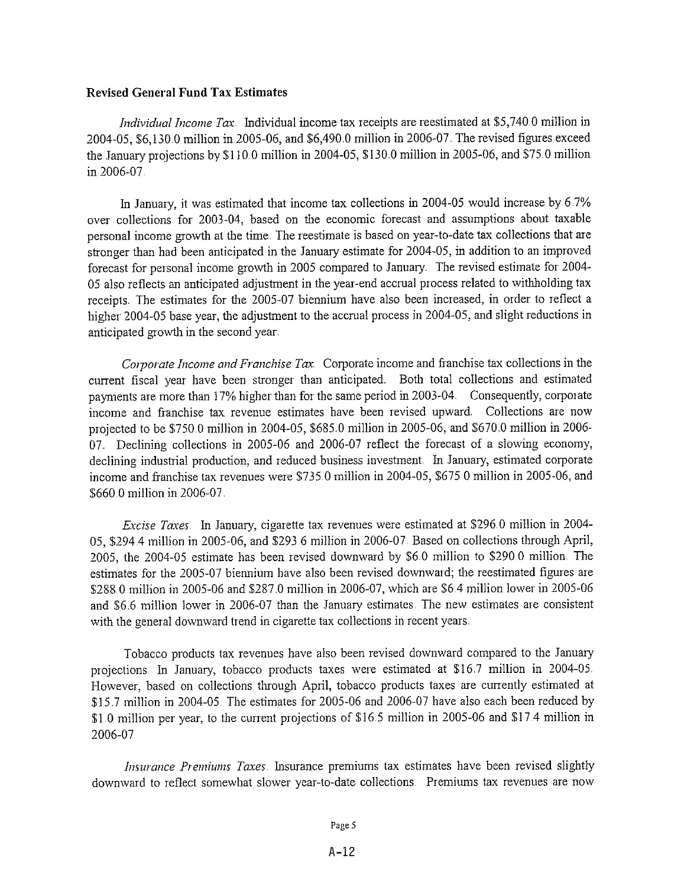#### **Revised General Fund Tax Estimates**

*Individual Income Tax*. Individual income tax receipts are reestimated at \$5,740.0 million in 2004-05, \$6,130.0 million in 2005-06, and \$6,490.0 million in 2006-07. The revised figures exceed the January projections by \$110.0 million in 2004-05, \$130.0 million in 2005-06, and \$75.0 million in 2006-07.

In January, it was estimated that income tax collections in 2004-05 would increase by 6.7% over collections for 2003-04, based on the economic forecast and assumptions about taxable personal income growth at the time. The reestimate is based on year-to-date tax collections that are stronger than had been anticipated in the January estimate for 2004-05, in addition to an improved forecast for personal income growth in 2005 compared to January. The revised estimate for 2004-05 also reflects an anticipated adjustment in the year-end accrual process related to withholding tax receipts. The estimates for the 2005-07 biennium have also been increased, in order to reflect a higher 2004-05 base year, the adjustment to the accrual process in 2004-05, and slight reductions in anticipated growth in the second year.

Corporate Income and Franchise Tax Corporate income and franchise tax collections in the current fiscal year have been stronger than anticipated. Both total collections and estimated payments are more than 17% higher than for the same period in 2003-04. Consequently, corporate income and franchise tax revenue estimates have been revised upward. Collections are now projected to be \$750.0 million in 2004-05, \$685.0 million in 2005-06, and \$670.0 million in 2006-07. Declining collections in 2005-06 and 2006-07 reflect the forecast of a slowing economy, declining industrial production, and reduced business investment. In January, estimated corporate income and franchise tax revenues were \$735.0 million in 2004-05, \$675.0 million in 2005-06, and \$660.0 million in 2006-07.

*Excise Taxes*. In January, cigarette tax revenues were estimated at \$296.0 million in 2004-05, \$294.4 million in 2005-06, and \$293.6 million in 2006-07. Based on collections through April, 2005, the 2004-05 estimate has been revised downward by \$6.0 million to \$290.0 million. The estimates for the 2005-07 biennium have also been revised downward; the reestimated figures are \$288.0 million in 2005-06 and \$287.0 million in 2006-07, which are \$6.4 million lower in 2005-06 and \$6.6 million lower in 2006-07 than the January estimates. The new estimates are consistent with the general downward trend in cigarette tax collections in recent years.

Tobacco products tax revenues have also been revised downward compared to the January projections. In January, tobacco products taxes were estimated at \$16.7 million in 2004-05. However, based on collections through April, tobacco products taxes are currently estimated at \$15.7 million in 2004-05. The estimates for 2005-06 and 2006-07 have also each been reduced by \$1.0 million per year, to the current projections of \$16.5 million in 2005-06 and \$17.4 million in 2006-07

Insurance Premiums Taxes. Insurance premiums tax estimates have been revised slightly downward to reflect somewhat slower year-to-date collections. Premiums tax revenues are now

#### Page 5

 $A-12$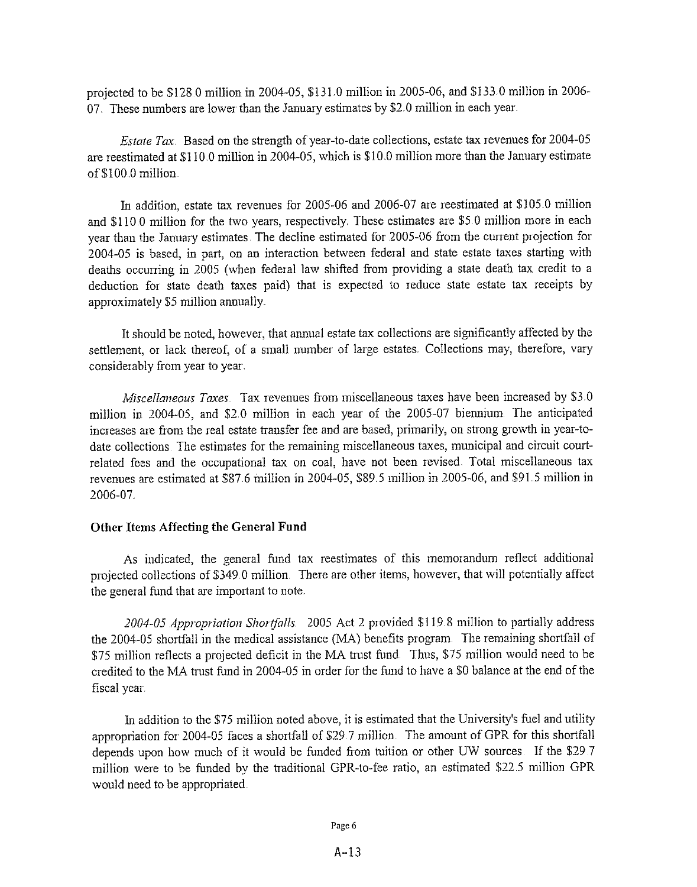projected to be \$128.0 million in 2004-05, \$131.0 million in 2005-06, and \$133.0 million in 2006-07. These numbers are lower than the January estimates by \$2.0 million in each year.

*Estate Tax*. Based on the strength of year-to-date collections, estate tax revenues for  $2004-05$ are reestimated at \$110.0 million in 2004-05, which is \$10.0 million more than the January estimate of \$100.0 million.

In addition, estate tax revenues for 2005-06 and 2006-07 are reestimated at \$105.0 million and \$110.0 million for the two years, respectively. These estimates are \$5.0 million more in each year than the January estimates. The decline estimated for 2005-06 from the current projection for 2004-05 is based, in part, on an interaction between federal and state estate taxes starting with deaths occurring in 2005 (when federal law shifted from providing a state death tax credit to a deduction for state death taxes paid) that is expected to reduce state estate tax receipts by approximately \$5 million annually.

It should be noted, however, that annual estate tax collections are significantly affected by the settlement, or lack thereof, of a small number of large estates. Collections may, therefore, vary considerably from year to year.

*Miscellaneous Taxes*. Tax revenues from miscellaneous taxes have been increased by \$3.0 million in 2004-05, and \$2.0 million in each year of the 2005-07 biennium. The anticipated increases are from the real estate transfer fee and are based, primarily, on strong growth in year-todate collections. The estimates for the remaining miscellaneous taxes, municipal and circuit courtrelated fees and the occupational tax on coal, have not been revised. Total miscellaneous tax revenues are estimated at \$87.6 million in 2004-05, \$89.5 million in 2005-06, and \$91.5 million in 2006-07.

#### **Other Items Affecting the General Fund**

As indicated, the general fund tax reestimates of this memorandum reflect additional projected collections of \$349.0 million. There are other items, however, that will potentially affect the general fund that are important to note.

2004-05 Appropriation Shortfalls. 2005 Act 2 provided \$119.8 million to partially address the 2004-05 shortfall in the medical assistance (MA) benefits program. The remaining shortfall of \$75 million reflects a projected deficit in the MA trust fund. Thus, \$75 million would need to be credited to the MA trust fund in 2004-05 in order for the fund to have a \$0 balance at the end of the fiscal year.

In addition to the \$75 million noted above, it is estimated that the University's fuel and utility appropriation for 2004-05 faces a shortfall of \$29.7 million. The amount of GPR for this shortfall depends upon how much of it would be funded from tuition or other UW sources. If the \$29.7 million were to be funded by the traditional GPR-to-fee ratio, an estimated \$22.5 million GPR would need to be appropriated.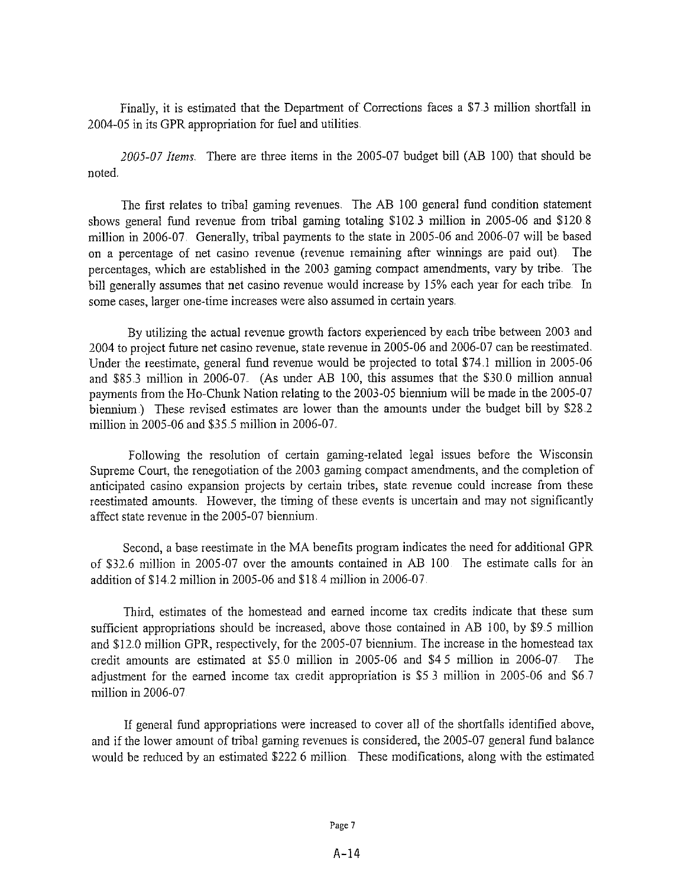Finally, it is estimated that the Department of Corrections faces a \$7.3 million shortfall in 2004-05 in its GPR appropriation for fuel and utilities.

2005-07 Items. There are three items in the 2005-07 budget bill (AB 100) that should be noted.

The first relates to tribal gaming revenues. The AB 100 general fund condition statement shows general fund revenue from tribal gaming totaling \$102.3 million in 2005-06 and \$120.8 million in 2006-07. Generally, tribal payments to the state in 2005-06 and 2006-07 will be based on a percentage of net casino revenue (revenue remaining after winnings are paid out). The percentages, which are established in the 2003 gaming compact amendments, vary by tribe. The bill generally assumes that net casino revenue would increase by 15% each year for each tribe. In some cases, larger one-time increases were also assumed in certain years.

By utilizing the actual revenue growth factors experienced by each tribe between 2003 and 2004 to project future net casino revenue, state revenue in 2005-06 and 2006-07 can be reestimated. Under the reestimate, general fund revenue would be projected to total \$74.1 million in 2005-06 and \$85.3 million in 2006-07. (As under AB 100, this assumes that the \$30.0 million annual payments from the Ho-Chunk Nation relating to the 2003-05 biennium will be made in the 2005-07 biennium.) These revised estimates are lower than the amounts under the budget bill by \$28.2 million in 2005-06 and \$35.5 million in 2006-07.

Following the resolution of certain gaming-related legal issues before the Wisconsin Supreme Court, the renegotiation of the 2003 gaming compact amendments, and the completion of anticipated casino expansion projects by certain tribes, state revenue could increase from these reestimated amounts. However, the timing of these events is uncertain and may not significantly affect state revenue in the 2005-07 biennium.

Second, a base reestimate in the MA benefits program indicates the need for additional GPR of \$32.6 million in 2005-07 over the amounts contained in AB 100. The estimate calls for an addition of \$14.2 million in 2005-06 and \$18.4 million in 2006-07.

Third, estimates of the homestead and earned income tax credits indicate that these sum sufficient appropriations should be increased, above those contained in AB 100, by \$9.5 million and \$12.0 million GPR, respectively, for the 2005-07 biennium. The increase in the homestead tax credit amounts are estimated at \$5.0 million in 2005-06 and \$4.5 million in 2006-07. The adjustment for the earned income tax credit appropriation is \$5.3 million in 2005-06 and \$6.7 million in 2006-07.

If general fund appropriations were increased to cover all of the shortfalls identified above, and if the lower amount of tribal gaming revenues is considered, the 2005-07 general fund balance would be reduced by an estimated \$222.6 million. These modifications, along with the estimated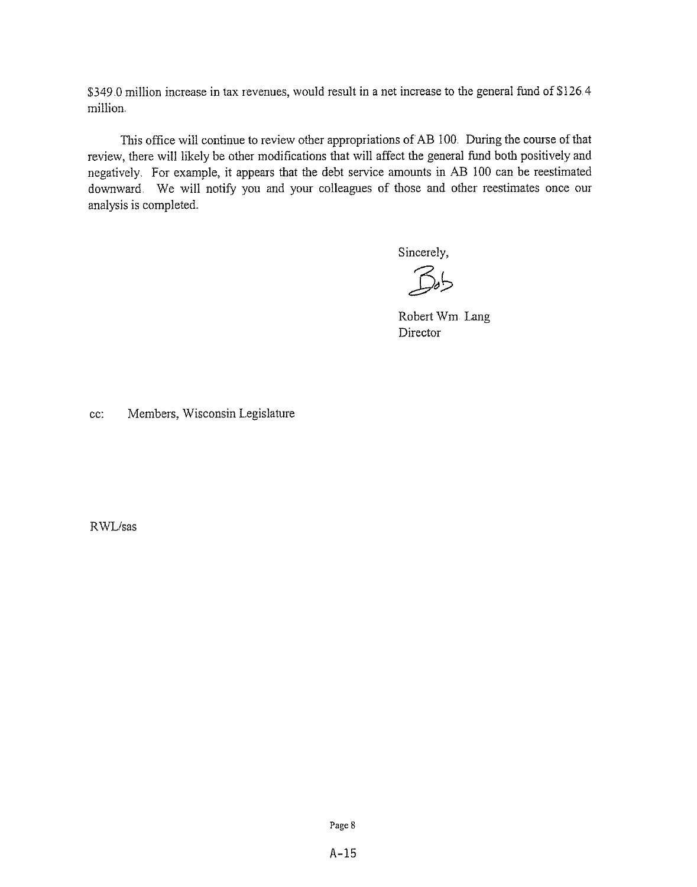\$349.0 million increase in tax revenues, would result in a net increase to the general fund of \$126.4 million.

This office will continue to review other appropriations of AB 100. During the course of that review, there will likely be other modifications that will affect the general fund both positively and negatively. For example, it appears that the debt service amounts in AB 100 can be reestimated downward. We will notify you and your colleagues of those and other reestimates once our analysis is completed.

Sincerely,

 $B<sub>b</sub>$ 

Robert Wm Lang Director

Members, Wisconsin Legislature cc:

RWL/sas

Page 8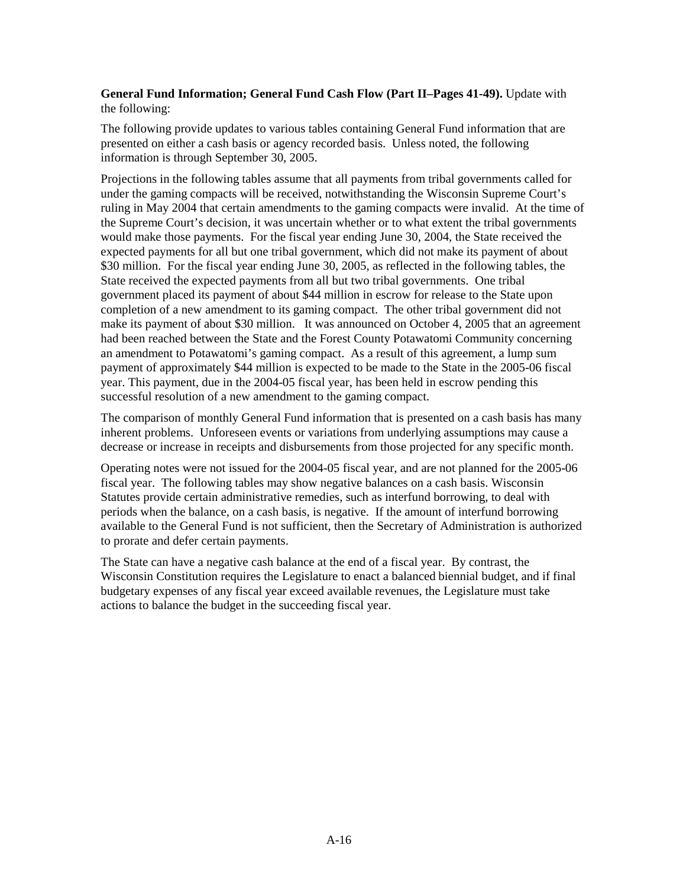# **General Fund Information; General Fund Cash Flow (Part II–Pages 41-49).** Update with the following:

The following provide updates to various tables containing General Fund information that are presented on either a cash basis or agency recorded basis. Unless noted, the following information is through September 30, 2005.

Projections in the following tables assume that all payments from tribal governments called for under the gaming compacts will be received, notwithstanding the Wisconsin Supreme Court's ruling in May 2004 that certain amendments to the gaming compacts were invalid. At the time of the Supreme Court's decision, it was uncertain whether or to what extent the tribal governments would make those payments. For the fiscal year ending June 30, 2004, the State received the expected payments for all but one tribal government, which did not make its payment of about \$30 million. For the fiscal year ending June 30, 2005, as reflected in the following tables, the State received the expected payments from all but two tribal governments. One tribal government placed its payment of about \$44 million in escrow for release to the State upon completion of a new amendment to its gaming compact. The other tribal government did not make its payment of about \$30 million. It was announced on October 4, 2005 that an agreement had been reached between the State and the Forest County Potawatomi Community concerning an amendment to Potawatomi's gaming compact. As a result of this agreement, a lump sum payment of approximately \$44 million is expected to be made to the State in the 2005-06 fiscal year. This payment, due in the 2004-05 fiscal year, has been held in escrow pending this successful resolution of a new amendment to the gaming compact.

The comparison of monthly General Fund information that is presented on a cash basis has many inherent problems. Unforeseen events or variations from underlying assumptions may cause a decrease or increase in receipts and disbursements from those projected for any specific month.

Operating notes were not issued for the 2004-05 fiscal year, and are not planned for the 2005-06 fiscal year. The following tables may show negative balances on a cash basis. Wisconsin Statutes provide certain administrative remedies, such as interfund borrowing, to deal with periods when the balance, on a cash basis, is negative. If the amount of interfund borrowing available to the General Fund is not sufficient, then the Secretary of Administration is authorized to prorate and defer certain payments.

The State can have a negative cash balance at the end of a fiscal year. By contrast, the Wisconsin Constitution requires the Legislature to enact a balanced biennial budget, and if final budgetary expenses of any fiscal year exceed available revenues, the Legislature must take actions to balance the budget in the succeeding fiscal year.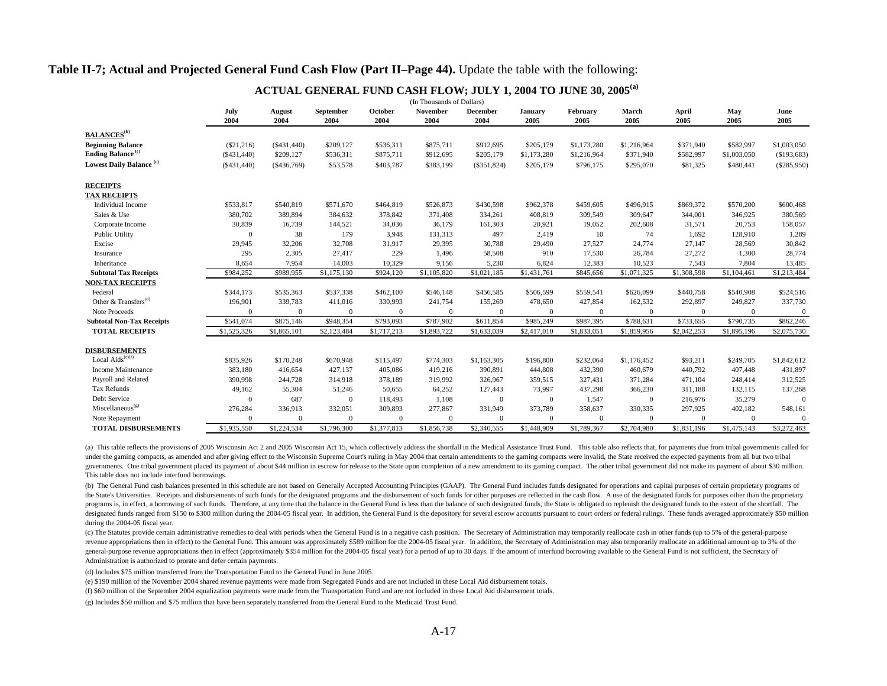#### **Table II-7; Actual and Projected General Fund Cash Flow (Part II–Page 44).** Update the table with the following:

|                                              |                       |                |                   |                 | (In Thousands of Dollars) |                         |                 |                  |               |                |             |               |
|----------------------------------------------|-----------------------|----------------|-------------------|-----------------|---------------------------|-------------------------|-----------------|------------------|---------------|----------------|-------------|---------------|
|                                              | July<br>2004          | August<br>2004 | September<br>2004 | October<br>2004 | November<br>2004          | December<br>2004        | January<br>2005 | February<br>2005 | March<br>2005 | April<br>2005  | May<br>2005 | June<br>2005  |
| <b>BALANCES</b> <sup>(b)</sup>               |                       |                |                   |                 |                           |                         |                 |                  |               |                |             |               |
| <b>Beginning Balance</b>                     | $(\$21,216)$          | (S431, 440)    | \$209,127         | \$536,311       | \$875,711                 | \$912,695               | \$205,179       | \$1,173,280      | \$1,216,964   | \$371,940      | \$582,997   | \$1,003,050   |
| <b>Ending Balance</b> <sup>(c)</sup>         | (S431, 440)           | \$209,127      | \$536,311         | \$875,711       | \$912,695                 | \$205,179               | \$1,173,280     | \$1,216,964      | \$371,940     | \$582,997      | \$1,003,050 | (\$193,683)   |
| Lowest Daily Balance <sup>(c)</sup>          | (S431, 440)           | ( \$436,769)   | \$53,578          | \$403,787       | \$383,199                 | $(\$351,824)$           | \$205,179       | \$796,175        | \$295,070     | \$81,325       | \$480,441   | $(\$285,950)$ |
| <b>RECEIPTS</b>                              |                       |                |                   |                 |                           |                         |                 |                  |               |                |             |               |
| <b>TAX RECEIPTS</b>                          |                       |                |                   |                 |                           |                         |                 |                  |               |                |             |               |
| Individual Income                            | \$533,817             | \$540,819      | \$571,670         | \$464,819       | \$526,873                 | \$430,598               | \$962,378       | \$459,605        | \$496,915     | \$869,372      | \$570,200   | \$600,468     |
| Sales & Use                                  | 380,702               | 389,894        | 384,632           | 378,842         | 371,408                   | 334,261                 | 408,819         | 309,549          | 309,647       | 344,001        | 346,925     | 380,569       |
| Corporate Income                             | 30,839                | 16,739         | 144,521           | 34,036          | 36,179                    | 161,303                 | 20,921          | 19,052           | 202,608       | 31,571         | 20,753      | 158,057       |
| Public Utility                               | $\Omega$              | 38             | 179               | 3,948           | 131,313                   | 497                     | 2,419           | 10               | 74            | 1,692          | 128,910     | 1,289         |
| Excise                                       | 29,945                | 32,206         | 32,708            | 31,917          | 29,395                    | 30,788                  | 29,490          | 27,527           | 24,774        | 27,147         | 28,569      | 30,842        |
| Insurance                                    | 295                   | 2,305          | 27,417            | 229             | 1,496                     | 58,508                  | 910             | 17,530           | 26,784        | 27,272         | 1,300       | 28,774        |
| Inheritance                                  | 8,654                 | 7,954          | 14,003            | 10,329          | 9,156                     | 5,230                   | 6,824           | 12,383           | 10,523        | 7,543          | 7,804       | 13,485        |
| <b>Subtotal Tax Receipts</b>                 | \$984,252             | \$989,955      | \$1,175,130       | \$924,120       | \$1,105,820               | \$1,021,185             | \$1,431,761     | \$845,656        | \$1,071,325   | \$1,308,598    | \$1,104,461 | \$1,213,484   |
| <b>NON-TAX RECEIPTS</b>                      |                       |                |                   |                 |                           |                         |                 |                  |               |                |             |               |
| Federal                                      | \$344,173             | \$535,363      | \$537,338         | \$462,100       | \$546,148                 | \$456,585               | \$506,599       | \$559,541        | \$626,099     | \$440,758      | \$540,908   | \$524,516     |
| Other & Transfers <sup>(d)</sup>             | 196,901               | 339,783        | 411,016           | 330,993         | 241,754                   | 155,269                 | 478,650         | 427,854          | 162,532       | 292,897        | 249,827     | 337,730       |
| Note Proceeds                                | $\Omega$              | $\overline{0}$ | $\mathbf{0}$      | $\Omega$        | $\Omega$                  | $\Omega$                | $\Omega$        | $\mathbf{0}$     | $\theta$      | $\overline{0}$ | $\Omega$    | $\mathbf{0}$  |
| <b>Subtotal Non-Tax Receipts</b>             | $\overline{$}541,074$ | \$875,146      | \$948,354         | \$793,093       | \$787,902                 | \$611,854               | \$985,249       | \$987,395        | \$788,631     | \$733,655      | \$790,735   | \$862,246     |
| <b>TOTAL RECEIPTS</b>                        | \$1,525,326           | \$1,865,101    | \$2,123,484       | \$1,717,213     | \$1,893,722               | \$1,633,039             | \$2,417,010     | \$1,833,051      | \$1,859,956   | \$2,042,253    | \$1,895,196 | \$2,075,730   |
| <b>DISBURSEMENTS</b>                         |                       |                |                   |                 |                           |                         |                 |                  |               |                |             |               |
| Local Aids $\overline{\text{e}^{\text{(c)}}$ | \$835,926             | \$170,248      | \$670,948         | \$115,497       | \$774,303                 | \$1,163,305             | \$196,800       | \$232,064        | \$1,176,452   | \$93,211       | \$249,705   | \$1,842,612   |
| Income Maintenance                           | 383,180               | 416,654        | 427,137           | 405,086         | 419,216                   | 390,891                 | 444,808         | 432,390          | 460,679       | 440,792        | 407,448     | 431,897       |
| Payroll and Related                          | 390,998               | 244,728        | 314,918           | 378,189         | 319,992                   | 326,967                 | 359,515         | 327,431          | 371,284       | 471,104        | 248,414     | 312,525       |
| Tax Refunds                                  | 49,162                | 55,304         | 51,246            | 50,655          | 64,252                    | 127,443                 | 73,997          | 437,298          | 366,230       | 311,188        | 132,115     | 137,268       |
| Debt Service                                 | $\Omega$              | 687            | $\mathbf{0}$      | 118,493         | 1,108                     | $\Omega$                | $\Omega$        | 1,547            | $\mathbf{0}$  | 216,976        | 35,279      | $\Omega$      |
| Miscellaneous <sup>(g)</sup>                 | 276,284               | 336,913        | 332,051           | 309,893         | 277,867                   | 331,949                 | 373,789         | 358,637          | 330,335       | 297,925        | 402,182     | 548,161       |
| Note Repayment                               | $\Omega$              | $\overline{0}$ | $\Omega$          | $\Omega$        | $\Omega$                  | $\Omega$                | $\Omega$        | $\mathbf{0}$     | $\Omega$      | $\Omega$       | $\Omega$    | $\mathbf{0}$  |
| <b>TOTAL DISBURSEMENTS</b>                   | \$1,935,550           | \$1,224,534    | \$1,796,300       | \$1,377,813     | \$1,856,738               | $\overline{$}2,340,555$ | \$1,448,909     | \$1,789,367      | \$2,704,980   | \$1,831,196    | \$1,475,143 | \$3,272,463   |

#### **ACTUAL GENERAL FUND CASH FLOW; JULY 1, 2004 TO JUNE 30, 2005(a)**

(a) This table reflects the provisions of 2005 Wisconsin Act 2 and 2005 Wisconsin Act 15, which collectively address the shortfall in the Medical Assistance Trust Fund. This table also reflects that, for payments due from under the gaming compacts, as amended and after giving effect to the Wisconsin Supreme Court's ruling in May 2004 that certain amendments to the gaming compacts were invalid, the State received the expected payments from a governments. One tribal government placed its payment of about \$44 million in escrow for release to the State upon completion of a new amendment to its gaming compact. The other tribal government did not make its payment o This table does not include interfund borrowings.

(b) The General Fund cash balances presented in this schedule are not based on Generally Accepted Accounting Principles (GAAP). The General Fund includes funds designated for operations and capital purposes of certain prop the State's Universities. Receipts and disbursements of such funds for the designated programs and the disbursement of such funds for other purposes are reflected in the cash flow. A use of the designated funds for purpose programs is, in effect, a borrowing of such funds. Therefore, at any time that the balance in the General Fund is less than the balance of such designated funds, the State is obligated to replenish the designated funds to designated funds ranged from \$150 to \$300 million during the 2004-05 fiscal year. In addition, the General Fund is the depository for several escrow accounts pursuant to court orders or federal rulings. These funds average during the 2004-05 fiscal year.

(c) The Statutes provide certain administrative remedies to deal with periods when the General Fund is in a negative cash position. The Secretary of Administration may temporarily reallocate cash in other funds (up to 5% o revenue appropriations then in effect) to the General Fund. This amount was approximately \$589 million for the 2004-05 fiscal year. In addition, the Secretary of Administration may also temporarily reallocate an additional general-purpose revenue appropriations then in effect (approximately \$354 million for the 2004-05 fiscal year) for a period of up to 30 days. If the amount of interfund borrowing available to the General Fund is not suffic Administration is authorized to prorate and defer certain payments.

(d) Includes \$75 million transferred from the Transportation Fund to the General Fund in June 2005.

(e) \$190 million of the November 2004 shared revenue payments were made from Segregated Funds and are not included in these Local Aid disbursement totals.

(f) \$60 million of the September 2004 equalization payments were made from the Transportation Fund and are not included in these Local Aid disbursement totals.

(g) Includes \$50 million and \$75 million that have been separately transferred from the General Fund to the Medicaid Trust Fund.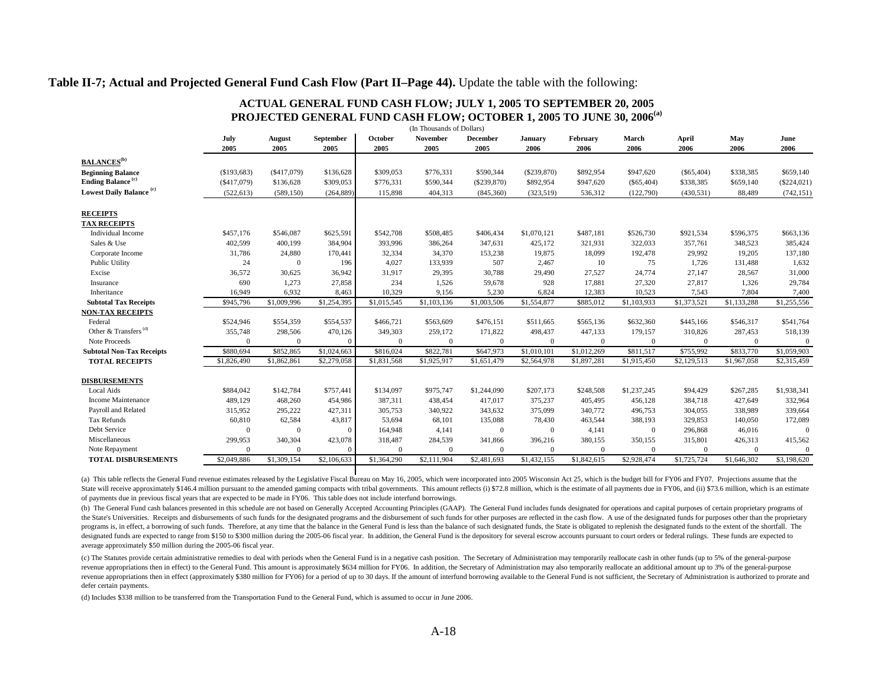#### **Table II-7; Actual and Projected General Fund Cash Flow (Part II–Page 44).** Update the table with the following:

| (In Thousands of Dollars)            |              |                       |                          |                 |                         |                  |                 |                  |               |               |             |               |
|--------------------------------------|--------------|-----------------------|--------------------------|-----------------|-------------------------|------------------|-----------------|------------------|---------------|---------------|-------------|---------------|
|                                      | July<br>2005 | <b>August</b><br>2005 | <b>September</b><br>2005 | October<br>2005 | <b>November</b><br>2005 | December<br>2005 | January<br>2006 | February<br>2006 | March<br>2006 | April<br>2006 | May<br>2006 | June<br>2006  |
| <b>BALANCES</b> <sup>(b)</sup>       |              |                       |                          |                 |                         |                  |                 |                  |               |               |             |               |
| <b>Beginning Balance</b>             | (\$193,683)  | $(\$417,079)$         | \$136,628                | \$309,053       | \$776,331               | \$590,344        | $(\$239,870)$   | \$892,954        | \$947,620     | $(\$65,404)$  | \$338,385   | \$659,140     |
| <b>Ending Balance</b> <sup>(c)</sup> | ( \$417,079) | \$136,628             | \$309,053                | \$776,331       | \$590,344               | $(\$239,870)$    | \$892,954       | \$947,620        | $(\$65,404)$  | \$338,385     | \$659,140   | $(\$224,021)$ |
| Lowest Daily Balance <sup>(c)</sup>  | (522, 613)   | (589, 150)            | (264, 889)               | 115,898         | 404,313                 | (845,360)        | (323, 519)      | 536,312          | (122,790)     | (430, 531)    | 88,489      | (742, 151)    |
| <b>RECEIPTS</b>                      |              |                       |                          |                 |                         |                  |                 |                  |               |               |             |               |
| <b>TAX RECEIPTS</b>                  |              |                       |                          |                 |                         |                  |                 |                  |               |               |             |               |
| Individual Income                    | \$457,176    | \$546,087             | \$625,591                | \$542,708       | \$508,485               | \$406,434        | \$1,070,121     | \$487,181        | \$526,730     | \$921,534     | \$596,375   | \$663,136     |
| Sales & Use                          | 402,599      | 400,199               | 384,904                  | 393,996         | 386,264                 | 347,631          | 425,172         | 321,931          | 322,033       | 357,761       | 348,523     | 385,424       |
| Corporate Income                     | 31,786       | 24,880                | 170,441                  | 32,334          | 34,370                  | 153,238          | 19,875          | 18,099           | 192,478       | 29,992        | 19,205      | 137,180       |
| Public Utility                       | 24           | $\mathbf{0}$          | 196                      | 4,027           | 133,939                 | 507              | 2,467           | 10               | 75            | 1,726         | 131,488     | 1,632         |
| Excise                               | 36,572       | 30,625                | 36,942                   | 31,917          | 29,395                  | 30,788           | 29,490          | 27,527           | 24,774        | 27,147        | 28,567      | 31,000        |
| Insurance                            | 690          | 1,273                 | 27,858                   | 234             | 1,526                   | 59,678           | 928             | 17,881           | 27,320        | 27,817        | 1,326       | 29,784        |
| Inheritance                          | 16,949       | 6,932                 | 8,463                    | 10,329          | 9,156                   | 5,230            | 6,824           | 12,383           | 10,523        | 7,543         | 7,804       | 7,400         |
| <b>Subtotal Tax Receipts</b>         | \$945,796    | \$1,009,996           | \$1,254,395              | \$1,015,545     | \$1,103,136             | \$1,003,506      | \$1,554,877     | \$885,012        | \$1,103,933   | \$1,373,521   | \$1,133,288 | \$1,255,556   |
| <b>NON-TAX RECEIPTS</b>              |              |                       |                          |                 |                         |                  |                 |                  |               |               |             |               |
| Federal                              | \$524,946    | \$554,359             | \$554,537                | \$466,721       | \$563,609               | \$476,151        | \$511,665       | \$565,136        | \$632,360     | \$445,166     | \$546,317   | \$541,764     |
| Other & Transfers <sup>(d)</sup>     | 355,748      | 298,506               | 470,126                  | 349,303         | 259,172                 | 171,822          | 498,437         | 447,133          | 179,157       | 310,826       | 287,453     | 518,139       |
| Note Proceeds                        | $\mathbf{0}$ | $\overline{0}$        | $\mathbf{0}$             | $\Omega$        | $\Omega$                | $\Omega$         | $\mathbf{0}$    | $\mathbf{0}$     | $\mathbf{0}$  | $\Omega$      | $\Omega$    | $\Omega$      |
| <b>Subtotal Non-Tax Receipts</b>     | \$880,694    | \$852,865             | \$1,024,663              | \$816,024       | \$822,781               | \$647,973        | \$1,010,101     | \$1,012,269      | \$811,517     | \$755,992     | \$833,770   | \$1,059,903   |
| <b>TOTAL RECEIPTS</b>                | \$1,826,490  | \$1,862,861           | \$2,279,058              | \$1,831,568     | \$1,925,917             | \$1,651,479      | \$2,564,978     | \$1,897,281      | \$1,915,450   | \$2,129,513   | \$1,967,058 | \$2,315,459   |
| <b>DISBURSEMENTS</b>                 |              |                       |                          |                 |                         |                  |                 |                  |               |               |             |               |
| Local Aids                           | \$884,042    | \$142,784             | \$757,441                | \$134,097       | \$975,747               | \$1,244,090      | \$207,173       | \$248,508        | \$1,237,245   | \$94,429      | \$267,285   | \$1,938,341   |
| Income Maintenance                   | 489,129      | 468,260               | 454,986                  | 387,311         | 438,454                 | 417.017          | 375,237         | 405,495          | 456,128       | 384,718       | 427.649     | 332,964       |
| Payroll and Related                  | 315,952      | 295,222               | 427,311                  | 305,753         | 340,922                 | 343,632          | 375,099         | 340,772          | 496,753       | 304,055       | 338,989     | 339,664       |
| Tax Refunds                          | 60,810       | 62,584                | 43,817                   | 53,694          | 68,101                  | 135,088          | 78,430          | 463,544          | 388,193       | 329,853       | 140,050     | 172,089       |
| Debt Service                         | $\Omega$     | $\overline{0}$        | $\mathbf{0}$             | 164,948         | 4,141                   | $\overline{0}$   | $\overline{0}$  | 4,141            | $\mathbf{0}$  | 296,868       | 46,016      | $\Omega$      |
| Miscellaneous                        | 299,953      | 340,304               | 423,078                  | 318,487         | 284,539                 | 341,866          | 396,216         | 380,155          | 350,155       | 315,801       | 426,313     | 415,562       |
| Note Repayment                       | $\Omega$     | $\Omega$              | $\mathbf{0}$             | $\Omega$        | $\Omega$                | $\Omega$         | $\Omega$        | $\mathbf{0}$     | $\theta$      | $\Omega$      | $\Omega$    | $\mathbf{0}$  |
| <b>TOTAL DISBURSEMENTS</b>           | \$2,049,886  | \$1,309,154           | \$2,106,633              | \$1,364,290     | \$2,111,904             | \$2,481,693      | \$1,432,155     | \$1,842,615      | \$2,928,474   | \$1,725,724   | \$1,646,302 | \$3,198,620   |

#### **ACTUAL GENERAL FUND CASH FLOW; JULY 1, 2005 TO SEPTEMBER 20, 2005 PROJECTED GENERAL FUND CASH FLOW; OCTOBER 1, 2005 TO JUNE 30, 2006(a)**

(a) This table reflects the General Fund revenue estimates released by the Legislative Fiscal Bureau on May 16, 2005, which were incorporated into 2005 Wisconsin Act 25, which is the budget bill for FY06 and FY07. Projecti State will receive approximately \$146.4 million pursuant to the amended gaming compacts with tribal governments. This amount reflects (i) \$72.8 million, which is the estimate of all payments due in FY06, and (ii) \$73.6 mil of payments due in previous fiscal years that are expected to be made in FY06. This table does not include interfund borrowings.

(b) The General Fund cash balances presented in this schedule are not based on Generally Accepted Accounting Principles (GAAP). The General Fund includes funds designated for operations and capital purposes of certain prop the State's Universities. Receipts and disbursements of such funds for the designated programs and the disbursement of such funds for other purposes are reflected in the cash flow. A use of the designated funds for purpose programs is, in effect, a borrowing of such funds. Therefore, at any time that the balance in the General Fund is less than the balance of such designated funds, the State is obligated to replenish the designated funds to designated funds are expected to range from \$150 to \$300 million during the 2005-06 fiscal year. In addition, the General Fund is the depository for several escrow accounts pursuant to court orders or federal rulings. Thes average approximately \$50 million during the 2005-06 fiscal year.

(c) The Statutes provide certain administrative remedies to deal with periods when the General Fund is in a negative cash position. The Secretary of Administration may temporarily reallocate cash in other funds (up to 5% o revenue appropriations then in effect) to the General Fund. This amount is approximately \$634 million for FY06. In addition, the Secretary of Administration may also temporarily reallocate an additional amount up to 3% of revenue appropriations then in effect (approximately \$380 million for FY06) for a period of up to 30 days. If the amount of interfund borrowing available to the General Fund is not sufficient, the Secretary of Administrati defer certain payments.

(d) Includes \$338 million to be transferred from the Transportation Fund to the General Fund, which is assumed to occur in June 2006.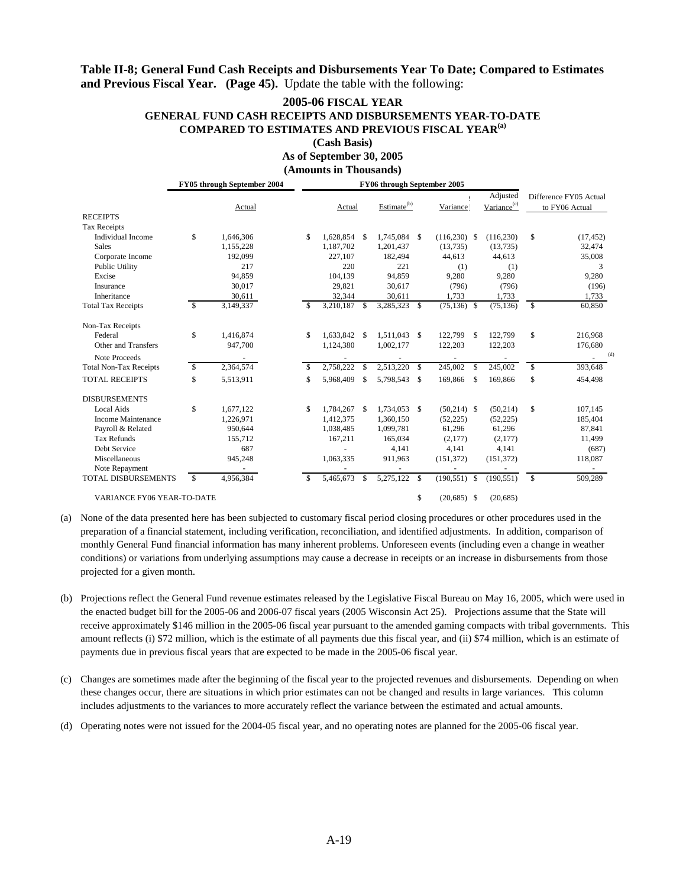### Table II-8; General Fund Cash Receipts and Disbursements Year To Date; Compared to Estimates and Previous Fiscal Year. (Page 45). Update the table with the following:

# **2005-06 FISCAL YEAR** GENERAL FUND CASH RECEIPTS AND DISBURSEMENTS YEAR-TO-DATE **COMPARED TO ESTIMATES AND PREVIOUS FISCAL YEAR<sup>(a)</sup>**

(Cash Basis) As of September 30, 2005

(Amounts in Thousands)

**EV05** through September 2004 FY06 through September 2005

|                               | г 1 оз инопен эсрпенност 2004 |           | r 100 un ough september 2005 |              |          |                         |     |                 |               |                                     |              |                                          |
|-------------------------------|-------------------------------|-----------|------------------------------|--------------|----------|-------------------------|-----|-----------------|---------------|-------------------------------------|--------------|------------------------------------------|
|                               |                               | Actual    |                              | Actual       |          | Estimate <sup>(b)</sup> |     | Variance        |               | Adjusted<br>Variance <sup>(c)</sup> |              | Difference FY05 Actual<br>to FY06 Actual |
| <b>RECEIPTS</b>               |                               |           |                              |              |          |                         |     |                 |               |                                     |              |                                          |
| <b>Tax Receipts</b>           |                               |           |                              |              |          |                         |     |                 |               |                                     |              |                                          |
| Individual Income             | \$                            | 1,646,306 | \$.                          | 1,628,854    | - \$     | 1,745,084 \$            |     | $(116,230)$ \$  |               | (116, 230)                          | \$           | (17, 452)                                |
| <b>Sales</b>                  |                               | 1,155,228 |                              | 1,187,702    |          | 1,201,437               |     | (13, 735)       |               | (13, 735)                           |              | 32,474                                   |
| Corporate Income              |                               | 192,099   |                              | 227,107      |          | 182.494                 |     | 44,613          |               | 44,613                              |              | 35,008                                   |
| Public Utility                |                               | 217       |                              | 220          |          | 221                     |     | (1)             |               | (1)                                 |              | 3                                        |
| Excise                        |                               | 94,859    |                              | 104,139      |          | 94,859                  |     | 9,280           |               | 9,280                               |              | 9,280                                    |
| Insurance                     |                               | 30,017    |                              | 29.821       |          | 30,617                  |     | (796)           |               | (796)                               |              | (196)                                    |
| Inheritance                   |                               | 30,611    |                              | 32,344       |          | 30,611                  |     | 1,733           |               | 1,733                               |              | 1,733                                    |
| <b>Total Tax Receipts</b>     | \$                            | 3,149,337 | \$.                          | 3,210,187    | -S       | 3,285,323               | -S  | $(75, 136)$ \$  |               | (75, 136)                           | $\mathbb{S}$ | 60,850                                   |
| Non-Tax Receipts              |                               |           |                              |              |          |                         |     |                 |               |                                     |              |                                          |
| Federal                       | \$                            | 1,416,874 | \$.                          | 1,633,842 \$ |          | 1,511,043 \$            |     | 122,799         | £.            | 122,799                             | \$           | 216,968                                  |
| Other and Transfers           |                               | 947,700   |                              | 1,124,380    |          | 1,002,177               |     | 122,203         |               | 122,203                             |              | 176,680                                  |
| Note Proceeds                 |                               |           |                              |              |          |                         |     |                 |               |                                     |              | (d)                                      |
| <b>Total Non-Tax Receipts</b> | <sup>\$</sup>                 | 2,364,574 | S                            | 2,758,222    | \$.      | 2,513,220               | -\$ | 245,002         | $\mathcal{S}$ | 245,002                             | \$           | 393,648                                  |
| <b>TOTAL RECEIPTS</b>         | \$                            | 5,513,911 | \$                           | 5,968,409    | \$.      | 5,798,543               | -S  | 169,866         | -S            | 169,866                             | \$           | 454,498                                  |
| <b>DISBURSEMENTS</b>          |                               |           |                              |              |          |                         |     |                 |               |                                     |              |                                          |
| <b>Local Aids</b>             | \$                            | 1,677,122 | \$                           | 1,784,267    | <b>S</b> | 1,734,053 \$            |     | $(50,214)$ \$   |               | (50, 214)                           | \$           | 107,145                                  |
| Income Maintenance            |                               | 1,226,971 |                              | 1,412,375    |          | 1,360,150               |     | (52, 225)       |               | (52, 225)                           |              | 185,404                                  |
| Payroll & Related             |                               | 950.644   |                              | 1,038,485    |          | 1.099.781               |     | 61.296          |               | 61,296                              |              | 87,841                                   |
| <b>Tax Refunds</b>            |                               | 155,712   |                              | 167,211      |          | 165,034                 |     | (2,177)         |               | (2,177)                             |              | 11,499                                   |
| Debt Service                  |                               | 687       |                              |              |          | 4,141                   |     | 4,141           |               | 4,141                               |              | (687)                                    |
| Miscellaneous                 |                               | 945,248   |                              | 1,063,335    |          | 911,963                 |     | (151, 372)      |               | (151, 372)                          |              | 118,087                                  |
| Note Repayment                |                               |           |                              |              |          |                         |     |                 |               |                                     |              |                                          |
| <b>TOTAL DISBURSEMENTS</b>    | <sup>\$</sup>                 | 4,956,384 | S                            | 5,465,673    | \$       | 5,275,122               | -S  | $(190, 551)$ \$ |               | (190, 551)                          | S            | 509,289                                  |
| VARIANCE FY06 YEAR-TO-DATE    |                               |           |                              |              |          |                         | \$  | $(20,685)$ \$   |               | (20, 685)                           |              |                                          |

(a) None of the data presented here has been subjected to customary fiscal period closing procedures or other procedures used in the preparation of a financial statement, including verification, reconciliation, and identified adjustments. In addition, comparison of monthly General Fund financial information has many inherent problems. Unforeseen events (including even a change in weather conditions) or variations from underlying assumptions may cause a decrease in receipts or an increase in disbursements from those projected for a given month.

- (b) Projections reflect the General Fund revenue estimates released by the Legislative Fiscal Bureau on May 16, 2005, which were used in the enacted budget bill for the 2005-06 and 2006-07 fiscal years (2005 Wisconsin Act 25). Projections assume that the State will receive approximately \$146 million in the 2005-06 fiscal year pursuant to the amended gaming compacts with tribal governments. This amount reflects (i) \$72 million, which is the estimate of all payments due this fiscal year, and (ii) \$74 million, which is an estimate of payments due in previous fiscal years that are expected to be made in the 2005-06 fiscal year.
- (c) Changes are sometimes made after the beginning of the fiscal year to the projected revenues and disbursements. Depending on when these changes occur, there are situations in which prior estimates can not be changed and results in large variances. This column includes adjustments to the variances to more accurately reflect the variance between the estimated and actual amounts.
- (d) Operating notes were not issued for the 2004-05 fiscal year, and no operating notes are planned for the 2005-06 fiscal year.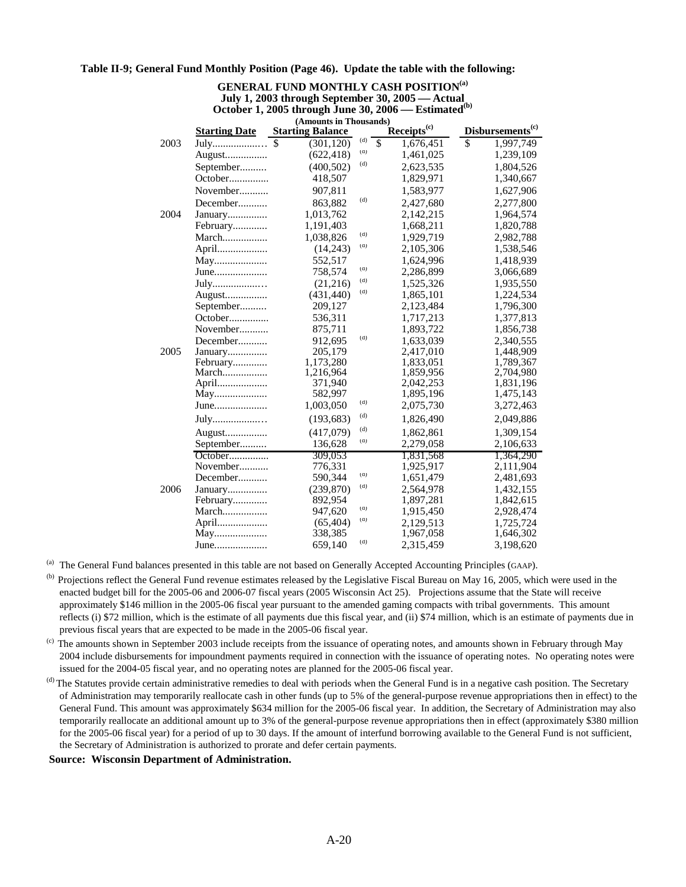#### **Table II-9; General Fund Monthly Position (Page 46). Update the table with the following:**

#### **GENERAL FUND MONTHLY CASH POSITION(a) July 1, 2003 through September 30, 2005 — Actual** October 1, 2005 through June 30, 2006 – Estimated<sup>(b)</sup>

|      |                      | (Amounts in Thousands)  |     |                                      |                              |
|------|----------------------|-------------------------|-----|--------------------------------------|------------------------------|
|      | <b>Starting Date</b> | <b>Starting Balance</b> |     | Receipts <sup>(c)</sup>              | Disbursements <sup>(c)</sup> |
| 2003 | July                 | \$<br>(301, 120)        | (d) | $\overline{\mathbb{S}}$<br>1,676,451 | \$<br>1,997,749              |
|      | August               | (622, 418)              | (d) | 1,461,025                            | 1,239,109                    |
|      | September            | (400, 502)              | (d) | 2,623,535                            | 1,804,526                    |
|      | October              | 418,507                 |     | 1,829,971                            | 1,340,667                    |
|      | November             | 907,811                 |     | 1,583,977                            | 1,627,906                    |
|      | December             | 863,882                 | (d) | 2,427,680                            | 2,277,800                    |
| 2004 | January              | 1,013,762               |     | 2,142,215                            | 1,964,574                    |
|      | February             | 1,191,403               |     | 1,668,211                            | 1,820,788                    |
|      | March                | 1,038,826               | (d) | 1,929,719                            | 2,982,788                    |
|      | April                | (14,243)                | (d) | 2,105,306                            | 1,538,546                    |
|      | May                  | 552,517                 |     | 1,624,996                            | 1,418,939                    |
|      | June                 | 758,574                 | (d) | 2,286,899                            | 3,066,689                    |
|      | July                 | (21,216)                | (d) | 1,525,326                            | 1,935,550                    |
|      | August               | (431, 440)              | (d) | 1,865,101                            | 1,224,534                    |
|      | September            | 209,127                 |     | 2,123,484                            | 1,796,300                    |
|      | October              | 536,311                 |     | 1,717,213                            | 1,377,813                    |
|      | November             | 875,711                 |     | 1,893,722                            | 1,856,738                    |
|      | December             | 912,695                 | (d) | 1,633,039                            | 2,340,555                    |
| 2005 | January              | 205,179                 |     | 2,417,010                            | 1,448,909                    |
|      | February             | 1,173,280               |     | 1,833,051                            | 1,789,367                    |
|      | March                | 1,216,964               |     | 1,859,956                            | 2,704,980                    |
|      | April                | 371,940                 |     | 2,042,253                            | 1,831,196                    |
|      | May                  | 582,997                 |     | 1,895,196                            | 1,475,143                    |
|      | June                 | 1,003,050               | (d) | 2,075,730                            | 3,272,463                    |
|      | July                 | (193, 683)              | (d) | 1,826,490                            | 2,049,886                    |
|      | August               | (417,079)               | (d) | 1,862,861                            | 1,309,154                    |
|      | September            | 136,628                 | (a) | 2,279,058                            | 2,106,633                    |
|      | October              | 309,053                 |     | 1,831,568                            | 1,364,290                    |
|      | November             | 776,331                 |     | 1,925,917                            | 2,111,904                    |
|      | December             | 590,344                 | (d) | 1,651,479                            | 2,481,693                    |
| 2006 | January              | (239, 870)              | (d) | 2,564,978                            | 1,432,155                    |
|      | February             | 892,954                 |     | 1,897,281                            | 1,842,615                    |
|      | March                | 947,620                 | (d) | 1,915,450                            | 2,928,474                    |
|      | April                | (65, 404)               | (d) | 2,129,513                            | 1,725,724                    |
|      | May                  | 338,385                 |     | 1,967,058                            | 1,646,302                    |
|      | June                 | 659,140                 | (d) | 2,315,459                            | 3.198.620                    |

(a) The General Fund balances presented in this table are not based on Generally Accepted Accounting Principles (GAAP).

<sup>(b)</sup> Projections reflect the General Fund revenue estimates released by the Legislative Fiscal Bureau on May 16, 2005, which were used in the enacted budget bill for the 2005-06 and 2006-07 fiscal years (2005 Wisconsin Act 25). Projections assume that the State will receive approximately \$146 million in the 2005-06 fiscal year pursuant to the amended gaming compacts with tribal governments. This amount reflects (i) \$72 million, which is the estimate of all payments due this fiscal year, and (ii) \$74 million, which is an estimate of payments due in previous fiscal years that are expected to be made in the 2005-06 fiscal year.

(c) The amounts shown in September 2003 include receipts from the issuance of operating notes, and amounts shown in February through May 2004 include disbursements for impoundment payments required in connection with the issuance of operating notes. No operating notes were issued for the 2004-05 fiscal year, and no operating notes are planned for the 2005-06 fiscal year.

(d) The Statutes provide certain administrative remedies to deal with periods when the General Fund is in a negative cash position. The Secretary of Administration may temporarily reallocate cash in other funds (up to 5% of the general-purpose revenue appropriations then in effect) to the General Fund. This amount was approximately \$634 million for the 2005-06 fiscal year. In addition, the Secretary of Administration may also temporarily reallocate an additional amount up to 3% of the general-purpose revenue appropriations then in effect (approximately \$380 million for the 2005-06 fiscal year) for a period of up to 30 days. If the amount of interfund borrowing available to the General Fund is not sufficient, the Secretary of Administration is authorized to prorate and defer certain payments.

**Source: Wisconsin Department of Administration.**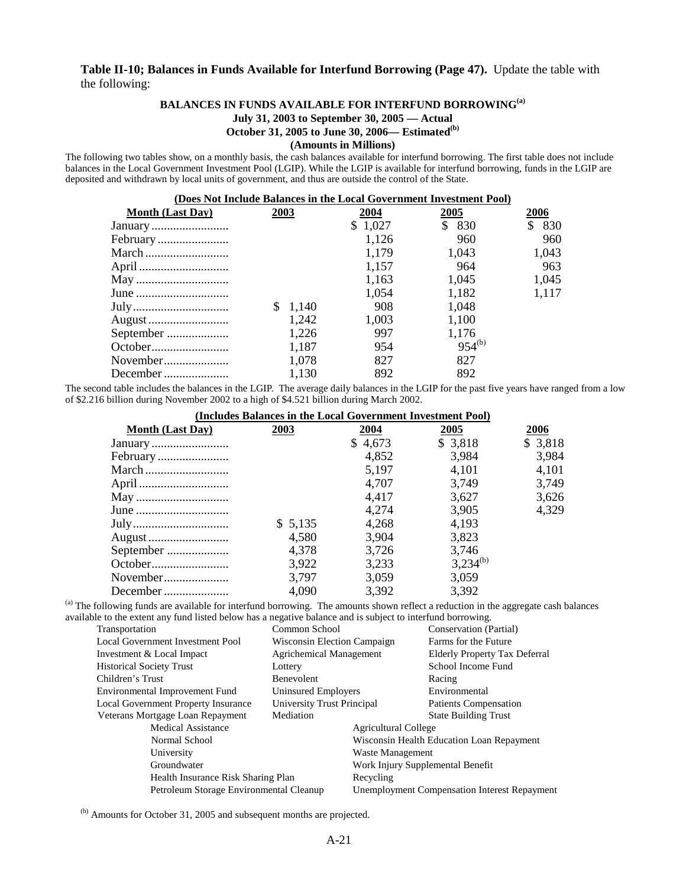#### **Table II-10; Balances in Funds Available for Interfund Borrowing (Page 47).** Update the table with the following:

#### BALANCES IN FUNDS AVAILABLE FOR INTERFUND BORROWING<sup>(a)</sup>

#### **July 31, 2003 to September 30, 2005 — Actual**

**October 31, 2005 to June 30, 2006— Estimated(b)**

#### **(Amounts in Millions)**

The following two tables show, on a monthly basis, the cash balances available for interfund borrowing. The first table does not include balances in the Local Government Investment Pool (LGIP). While the LGIP is available for interfund borrowing, funds in the LGIP are deposited and withdrawn by local units of government, and thus are outside the control of the State.

| (Does Not Include Balances in the Local Government Investment Pool) |             |         |             |       |  |  |  |  |  |  |
|---------------------------------------------------------------------|-------------|---------|-------------|-------|--|--|--|--|--|--|
| <b>Month (Last Day)</b>                                             | 2003        | 2004    | 2005        | 2006  |  |  |  |  |  |  |
| January                                                             |             | \$1,027 | \$.<br>830  | 830   |  |  |  |  |  |  |
| February                                                            |             | 1,126   | 960         | 960   |  |  |  |  |  |  |
| March                                                               |             | 1,179   | 1,043       | 1,043 |  |  |  |  |  |  |
| April                                                               |             | 1,157   | 964         | 963   |  |  |  |  |  |  |
| May                                                                 |             | 1,163   | 1,045       | 1,045 |  |  |  |  |  |  |
| June                                                                |             | 1,054   | 1,182       | 1,117 |  |  |  |  |  |  |
| July                                                                | S.<br>1.140 | 908     | 1,048       |       |  |  |  |  |  |  |
| August                                                              | 1,242       | 1,003   | 1,100       |       |  |  |  |  |  |  |
| September                                                           | 1,226       | 997     | 1,176       |       |  |  |  |  |  |  |
| October                                                             | 1,187       | 954     | $954^{(b)}$ |       |  |  |  |  |  |  |
| November                                                            | 1,078       | 827     | 827         |       |  |  |  |  |  |  |
| December                                                            | 1,130       | 892     | 892         |       |  |  |  |  |  |  |

The second table includes the balances in the LGIP. The average daily balances in the LGIP for the past five years have ranged from a low of \$2.216 billion during November 2002 to a high of \$4.521 billion during March 2002.

| (Includes Balances in the Local Government Investment Pool) |         |         |               |          |  |  |  |  |  |
|-------------------------------------------------------------|---------|---------|---------------|----------|--|--|--|--|--|
| <b>Month (Last Day)</b>                                     | 2003    | 2004    | 2005          | 2006     |  |  |  |  |  |
|                                                             |         | \$4,673 | \$3,818       | \$ 3,818 |  |  |  |  |  |
|                                                             |         | 4,852   | 3,984         | 3,984    |  |  |  |  |  |
|                                                             |         | 5,197   | 4,101         | 4,101    |  |  |  |  |  |
|                                                             |         | 4,707   | 3,749         | 3,749    |  |  |  |  |  |
|                                                             |         | 4,417   | 3,627         | 3,626    |  |  |  |  |  |
|                                                             |         | 4,274   | 3,905         | 4,329    |  |  |  |  |  |
|                                                             | \$5,135 | 4,268   | 4,193         |          |  |  |  |  |  |
|                                                             | 4,580   | 3,904   | 3,823         |          |  |  |  |  |  |
| September                                                   | 4,378   | 3,726   | 3,746         |          |  |  |  |  |  |
| October                                                     | 3,922   | 3,233   | $3,234^{(b)}$ |          |  |  |  |  |  |
| November                                                    | 3,797   | 3,059   | 3,059         |          |  |  |  |  |  |
| December                                                    | 4,090   | 3,392   | 3,392         |          |  |  |  |  |  |

(a) The following funds are available for interfund borrowing. The amounts shown reflect a reduction in the aggregate cash balances available to the extent any fund listed below has a negative balance and is subject to interfund borrowing.

| Transportation                          | Common School               |                                                     | Conservation (Partial)                    |  |  |
|-----------------------------------------|-----------------------------|-----------------------------------------------------|-------------------------------------------|--|--|
| Local Government Investment Pool        | Wisconsin Election Campaign |                                                     | Farms for the Future                      |  |  |
| Investment & Local Impact               | Agrichemical Management     |                                                     | Elderly Property Tax Deferral             |  |  |
| <b>Historical Society Trust</b>         | Lottery                     |                                                     | School Income Fund                        |  |  |
| Children's Trust                        | Benevolent                  |                                                     | Racing                                    |  |  |
| Environmental Improvement Fund          | Uninsured Employers         |                                                     | Environmental                             |  |  |
| Local Government Property Insurance     | University Trust Principal  |                                                     | Patients Compensation                     |  |  |
| Veterans Mortgage Loan Repayment        | Mediation                   |                                                     | <b>State Building Trust</b>               |  |  |
| <b>Medical Assistance</b>               |                             | <b>Agricultural College</b>                         |                                           |  |  |
| Normal School                           |                             |                                                     | Wisconsin Health Education Loan Repayment |  |  |
| University                              |                             | Waste Management                                    |                                           |  |  |
| Groundwater                             |                             |                                                     | Work Injury Supplemental Benefit          |  |  |
| Health Insurance Risk Sharing Plan      | Recycling                   |                                                     |                                           |  |  |
| Petroleum Storage Environmental Cleanup |                             | <b>Unemployment Compensation Interest Repayment</b> |                                           |  |  |

(b) Amounts for October 31, 2005 and subsequent months are projected.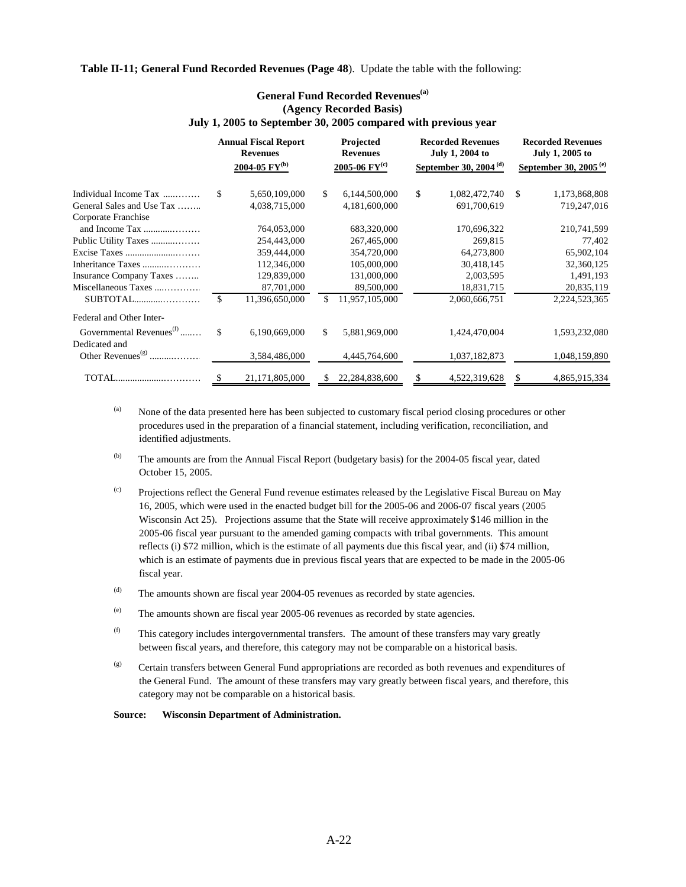**Table II-11; General Fund Recorded Revenues (Page 48**). Update the table with the following:

|                                      | <b>Annual Fiscal Report</b><br><b>Revenues</b> |                               |     | Projected<br><b>Revenues</b> |    | <b>Recorded Revenues</b><br>July 1, 2004 to | <b>Recorded Revenues</b><br>July 1, 2005 to |                                   |  |
|--------------------------------------|------------------------------------------------|-------------------------------|-----|------------------------------|----|---------------------------------------------|---------------------------------------------|-----------------------------------|--|
|                                      |                                                | $2004 - 05$ FY <sup>(b)</sup> |     | 2005-06 $FY^{(c)}$           |    | September 30, 2004 <sup>(d)</sup>           |                                             | September 30, 2005 <sup>(e)</sup> |  |
| Individual Income Tax                | \$.                                            | 5,650,109,000                 | \$. | 6,144,500,000                | \$ | 1,082,472,740                               | <sup>\$</sup>                               | 1,173,868,808                     |  |
| General Sales and Use Tax            |                                                | 4,038,715,000                 |     | 4,181,600,000                |    | 691,700,619                                 |                                             | 719,247,016                       |  |
| Corporate Franchise                  |                                                |                               |     |                              |    |                                             |                                             |                                   |  |
| and Income Tax                       |                                                | 764,053,000                   |     | 683,320,000                  |    | 170,696,322                                 |                                             | 210,741,599                       |  |
| Public Utility Taxes                 |                                                | 254,443,000                   |     | 267,465,000                  |    | 269,815                                     |                                             | 77,402                            |  |
| Excise Taxes                         |                                                | 359,444,000                   |     | 354,720,000                  |    | 64,273,800                                  |                                             | 65,902,104                        |  |
| Inheritance Taxes                    |                                                | 112,346,000                   |     | 105,000,000                  |    | 30,418,145                                  |                                             | 32,360,125                        |  |
| Insurance Company Taxes              |                                                | 129,839,000                   |     | 131,000,000                  |    | 2,003,595                                   |                                             | 1,491,193                         |  |
| Miscellaneous Taxes                  |                                                | 87,701,000                    |     | 89,500,000                   |    | 18,831,715                                  |                                             | 20,835,119                        |  |
|                                      | \$.                                            | 11,396,650,000                | \$  | 11,957,105,000               |    | 2,060,666,751                               |                                             | 2,224,523,365                     |  |
| Federal and Other Inter-             |                                                |                               |     |                              |    |                                             |                                             |                                   |  |
| Governmental Revenues <sup>(f)</sup> | \$                                             | 6,190,669,000                 | \$  | 5,881,969,000                |    | 1,424,470,004                               |                                             | 1,593,232,080                     |  |
| Dedicated and                        |                                                |                               |     |                              |    |                                             |                                             |                                   |  |
|                                      |                                                | 3,584,486,000                 |     | 4,445,764,600                |    | 1,037,182,873                               |                                             | 1,048,159,890                     |  |
| TOTAL                                | \$                                             | 21,171,805,000                | S.  | 22, 284, 838, 600            | \$ | 4,522,319,628                               | \$.                                         | 4,865,915,334                     |  |

#### **General Fund Recorded Revenues(a) (Agency Recorded Basis) July 1, 2005 to September 30, 2005 compared with previous year**

(a) None of the data presented here has been subjected to customary fiscal period closing procedures or other procedures used in the preparation of a financial statement, including verification, reconciliation, and identified adjustments.

- (b) The amounts are from the Annual Fiscal Report (budgetary basis) for the 2004-05 fiscal year, dated October 15, 2005.
- (c) Projections reflect the General Fund revenue estimates released by the Legislative Fiscal Bureau on May 16, 2005, which were used in the enacted budget bill for the 2005-06 and 2006-07 fiscal years (2005 Wisconsin Act 25). Projections assume that the State will receive approximately \$146 million in the 2005-06 fiscal year pursuant to the amended gaming compacts with tribal governments. This amount reflects (i) \$72 million, which is the estimate of all payments due this fiscal year, and (ii) \$74 million, which is an estimate of payments due in previous fiscal years that are expected to be made in the 2005-06 fiscal year.
- (d) The amounts shown are fiscal year 2004-05 revenues as recorded by state agencies.
- (e) The amounts shown are fiscal year 2005-06 revenues as recorded by state agencies.
- (f) This category includes intergovernmental transfers. The amount of these transfers may vary greatly between fiscal years, and therefore, this category may not be comparable on a historical basis.
- (g) Certain transfers between General Fund appropriations are recorded as both revenues and expenditures of the General Fund. The amount of these transfers may vary greatly between fiscal years, and therefore, this category may not be comparable on a historical basis.

**Source: Wisconsin Department of Administration.**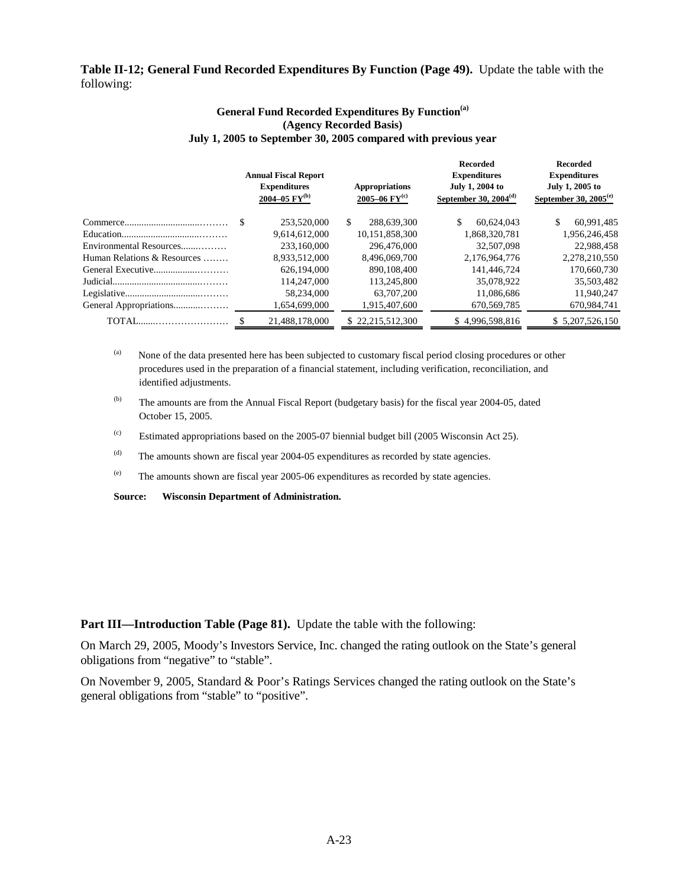### **Table II-12; General Fund Recorded Expenditures By Function (Page 49).** Update the table with the following:

#### **General Fund Recorded Expenditures By Function(a) (Agency Recorded Basis) July 1, 2005 to September 30, 2005 compared with previous year**

|                             |  | <b>Annual Fiscal Report</b><br><b>Expenditures</b><br>2004–05 $FY^{(b)}$ |    | <b>Appropriations</b><br>2005–06 $FY^{(c)}$ |    | <b>Recorded</b><br><b>Expenditures</b><br>July 1, 2004 to<br>September 30, $2004(d)$ | <b>Recorded</b><br><b>Expenditures</b><br>July 1, 2005 to<br>September 30, $2005^{(e)}$ |                 |  |
|-----------------------------|--|--------------------------------------------------------------------------|----|---------------------------------------------|----|--------------------------------------------------------------------------------------|-----------------------------------------------------------------------------------------|-----------------|--|
|                             |  | 253,520,000                                                              | S. | 288,639,300                                 | \$ | 60.624.043                                                                           | \$                                                                                      | 60,991,485      |  |
|                             |  | 9,614,612,000                                                            |    | 10,151,858,300                              |    | 1,868,320,781                                                                        |                                                                                         | 1,956,246,458   |  |
| Environmental Resources     |  | 233,160,000                                                              |    | 296,476,000                                 |    | 32,507,098                                                                           |                                                                                         | 22,988,458      |  |
| Human Relations & Resources |  | 8.933.512.000                                                            |    | 8.496.069.700                               |    | 2.176.964.776                                                                        |                                                                                         | 2.278.210.550   |  |
|                             |  | 626.194.000                                                              |    | 890,108,400                                 |    | 141,446,724                                                                          |                                                                                         | 170,660,730     |  |
|                             |  | 114,247,000                                                              |    | 113,245,800                                 |    | 35,078,922                                                                           |                                                                                         | 35,503,482      |  |
|                             |  | 58,234,000                                                               |    | 63,707,200                                  |    | 11.086.686                                                                           |                                                                                         | 11,940,247      |  |
| General Appropriations      |  | 1,654,699,000                                                            |    | 1,915,407,600                               |    | 670,569,785                                                                          |                                                                                         | 670,984,741     |  |
|                             |  | 21.488.178.000                                                           |    | \$22,215,512,300                            |    | \$4,996,598,816                                                                      |                                                                                         | \$5.207.526.150 |  |
|                             |  |                                                                          |    |                                             |    |                                                                                      |                                                                                         |                 |  |

(a) None of the data presented here has been subjected to customary fiscal period closing procedures or other procedures used in the preparation of a financial statement, including verification, reconciliation, and identified adjustments.

(b) The amounts are from the Annual Fiscal Report (budgetary basis) for the fiscal year 2004-05, dated October 15, 2005.

(c) Estimated appropriations based on the 2005-07 biennial budget bill (2005 Wisconsin Act 25).

(d) The amounts shown are fiscal year 2004-05 expenditures as recorded by state agencies.

(e) The amounts shown are fiscal year 2005-06 expenditures as recorded by state agencies.

**Source: Wisconsin Department of Administration.**

**Part III—Introduction Table (Page 81).** Update the table with the following:

On March 29, 2005, Moody's Investors Service, Inc. changed the rating outlook on the State's general obligations from "negative" to "stable".

On November 9, 2005, Standard & Poor's Ratings Services changed the rating outlook on the State's general obligations from "stable" to "positive".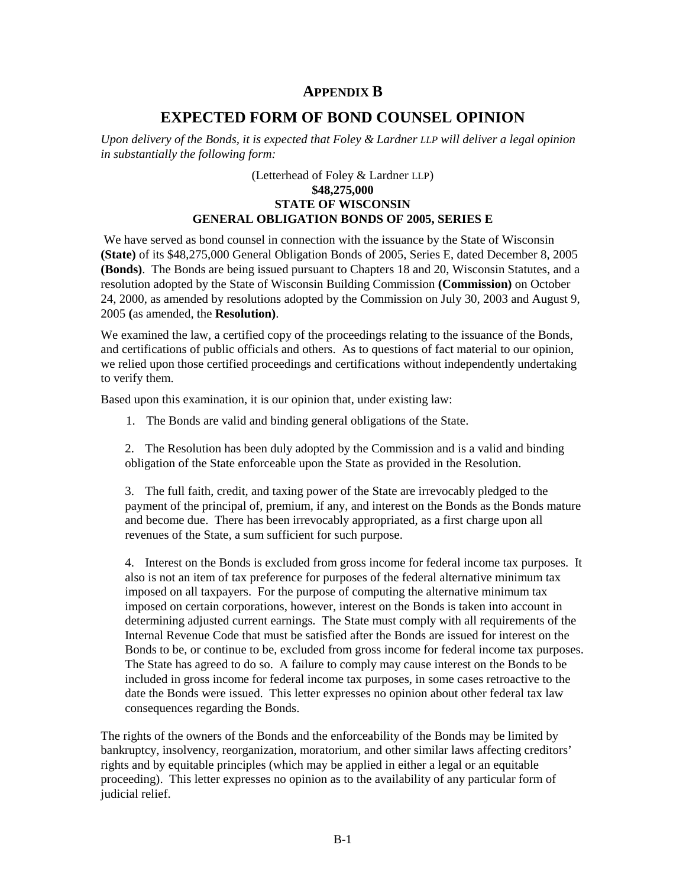# **APPENDIX B**

# **EXPECTED FORM OF BOND COUNSEL OPINION**

<span id="page-35-0"></span>*Upon delivery of the Bonds, it is expected that Foley & Lardner LLP will deliver a legal opinion in substantially the following form:* 

# (Letterhead of Foley & Lardner LLP) **\$48,275,000 STATE OF WISCONSIN GENERAL OBLIGATION BONDS OF 2005, SERIES E**

 We have served as bond counsel in connection with the issuance by the State of Wisconsin **(State)** of its \$48,275,000 General Obligation Bonds of 2005, Series E, dated December 8, 2005 **(Bonds)**. The Bonds are being issued pursuant to Chapters 18 and 20, Wisconsin Statutes, and a resolution adopted by the State of Wisconsin Building Commission **(Commission)** on October 24, 2000, as amended by resolutions adopted by the Commission on July 30, 2003 and August 9, 2005 **(**as amended, the **Resolution)**.

We examined the law, a certified copy of the proceedings relating to the issuance of the Bonds, and certifications of public officials and others. As to questions of fact material to our opinion, we relied upon those certified proceedings and certifications without independently undertaking to verify them.

Based upon this examination, it is our opinion that, under existing law:

1. The Bonds are valid and binding general obligations of the State.

2. The Resolution has been duly adopted by the Commission and is a valid and binding obligation of the State enforceable upon the State as provided in the Resolution.

3. The full faith, credit, and taxing power of the State are irrevocably pledged to the payment of the principal of, premium, if any, and interest on the Bonds as the Bonds mature and become due. There has been irrevocably appropriated, as a first charge upon all revenues of the State, a sum sufficient for such purpose.

4. Interest on the Bonds is excluded from gross income for federal income tax purposes. It also is not an item of tax preference for purposes of the federal alternative minimum tax imposed on all taxpayers. For the purpose of computing the alternative minimum tax imposed on certain corporations, however, interest on the Bonds is taken into account in determining adjusted current earnings. The State must comply with all requirements of the Internal Revenue Code that must be satisfied after the Bonds are issued for interest on the Bonds to be, or continue to be, excluded from gross income for federal income tax purposes. The State has agreed to do so. A failure to comply may cause interest on the Bonds to be included in gross income for federal income tax purposes, in some cases retroactive to the date the Bonds were issued. This letter expresses no opinion about other federal tax law consequences regarding the Bonds.

The rights of the owners of the Bonds and the enforceability of the Bonds may be limited by bankruptcy, insolvency, reorganization, moratorium, and other similar laws affecting creditors' rights and by equitable principles (which may be applied in either a legal or an equitable proceeding). This letter expresses no opinion as to the availability of any particular form of judicial relief.